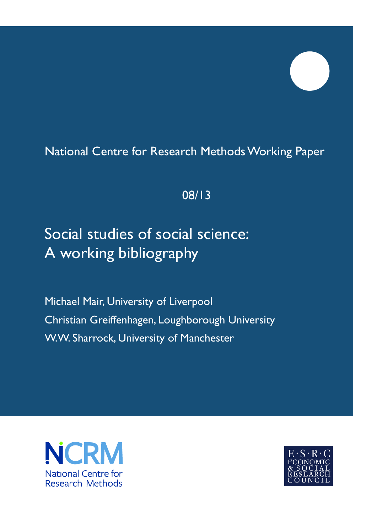## National Centre for Research Methods Working Paper

### 08/13

# Social studies of social science: A working bibliography

Michael Mair, University of Liverpool Christian Greiffenhagen, Loughborough University W.W. Sharrock, University of Manchester



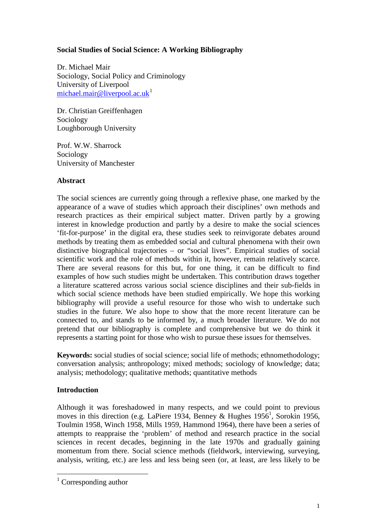#### **Social Studies of Social Science: A Working Bibliography**

Dr. Michael Mair Sociology, Social Policy and Criminology University of Liverpool [michael.mair@liverpool.ac.uk](mailto:michael.mair@liverpool.ac.uk)<sup>[1](#page-1-0)</sup>

Dr. Christian Greiffenhagen Sociology Loughborough University

Prof. W.W. Sharrock Sociology University of Manchester

#### **Abstract**

The social sciences are currently going through a reflexive phase, one marked by the appearance of a wave of studies which approach their disciplines' own methods and research practices as their empirical subject matter. Driven partly by a growing interest in knowledge production and partly by a desire to make the social sciences 'fit-for-purpose' in the digital era, these studies seek to reinvigorate debates around methods by treating them as embedded social and cultural phenomena with their own distinctive biographical trajectories – or "social lives". Empirical studies of social scientific work and the role of methods within it, however, remain relatively scarce. There are several reasons for this but, for one thing, it can be difficult to find examples of how such studies might be undertaken. This contribution draws together a literature scattered across various social science disciplines and their sub-fields in which social science methods have been studied empirically. We hope this working bibliography will provide a useful resource for those who wish to undertake such studies in the future. We also hope to show that the more recent literature can be connected to, and stands to be informed by, a much broader literature. We do not pretend that our bibliography is complete and comprehensive but we do think it represents a starting point for those who wish to pursue these issues for themselves.

**Keywords:** social studies of social science; social life of methods; ethnomethodology; conversation analysis; anthropology; mixed methods; sociology of knowledge; data; analysis; methodology; qualitative methods; quantitative methods

#### **Introduction**

Although it was foreshadowed in many respects, and we could point to previous moves in this direction (e.g. LaPiere 1934, Benney & Hughes  $1956<sup>1</sup>$ , Sorokin 1956, Toulmin 1958, Winch 1958, Mills 1959, Hammond 1964), there have been a series of attempts to reappraise the 'problem' of method and research practice in the social sciences in recent decades, beginning in the late 1970s and gradually gaining momentum from there. Social science methods (fieldwork, interviewing, surveying, analysis, writing, etc.) are less and less being seen (or, at least, are less likely to be

<span id="page-1-0"></span> $1$  Corresponding author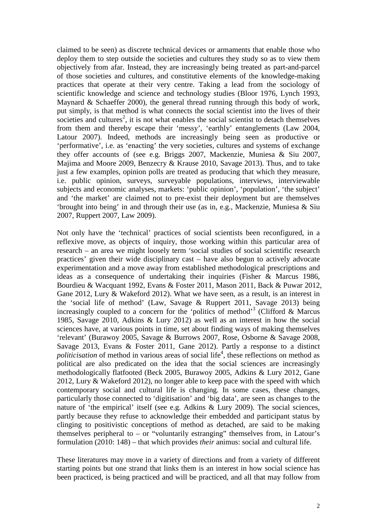claimed to be seen) as discrete technical devices or armaments that enable those who deploy them to step outside the societies and cultures they study so as to view them objectively from afar. Instead, they are increasingly being treated as part-and-parcel of those societies and cultures, and constitutive elements of the knowledge-making practices that operate at their very centre. Taking a lead from the sociology of scientific knowledge and science and technology studies (Bloor 1976, Lynch 1993, Maynard & Schaeffer 2000), the general thread running through this body of work, put simply, is that method is what connects the social scientist into the lives of their societies and cultures<sup>2</sup>, it is not what enables the social scientist to detach themselves from them and thereby escape their 'messy', 'earthly' entanglements (Law 2004, Latour 2007). Indeed, methods are increasingly being seen as productive or 'performative', i.e. as 'enacting' the very societies, cultures and systems of exchange they offer accounts of (see e.g. Briggs 2007, Mackenzie, Muniesa & Siu 2007, Majima and Moore 2009, Benzecry & Krause 2010, Savage 2013). Thus, and to take just a few examples, opinion polls are treated as producing that which they measure, i.e. public opinion, surveys, surveyable populations, interviews, interviewable subjects and economic analyses, markets: 'public opinion', 'population', 'the subject' and 'the market' are claimed not to pre-exist their deployment but are themselves 'brought into being' in and through their use (as in, e.g., Mackenzie, Muniesa & Siu 2007, Ruppert 2007, Law 2009).

Not only have the 'technical' practices of social scientists been reconfigured, in a reflexive move, as objects of inquiry, those working within this particular area of research – an area we might loosely term 'social studies of social scientific research practices' given their wide disciplinary cast – have also begun to actively advocate experimentation and a move away from established methodological prescriptions and ideas as a consequence of undertaking their inquiries (Fisher & Marcus 1986, Bourdieu & Wacquant 1992, Evans & Foster 2011, Mason 2011, Back & Puwar 2012, Gane 2012, Lury & Wakeford 2012). What we have seen, as a result, is an interest in the 'social life of method' (Law, Savage & Ruppert 2011, Savage 2013) being increasingly coupled to a concern for the 'politics of method'<sup>3</sup> (Clifford & Marcus 1985, Savage 2010, Adkins & Lury 2012) as well as an interest in how the social sciences have, at various points in time, set about finding ways of making themselves 'relevant' (Burawoy 2005, Savage & Burrows 2007, Rose, Osborne & Savage 2008, Savage 2013, Evans & Foster 2011, Gane 2012). Partly a response to a distinct politicisation of method in various areas of social life<sup>4</sup>, these reflections on method as political are also predicated on the idea that the social sciences are increasingly methodologically flatfooted (Beck 2005, Burawoy 2005, Adkins & Lury 2012, Gane 2012, Lury & Wakeford 2012), no longer able to keep pace with the speed with which contemporary social and cultural life is changing. In some cases, these changes, particularly those connected to 'digitisation' and 'big data', are seen as changes to the nature of 'the empirical' itself (see e.g. Adkins & Lury 2009). The social sciences, partly because they refuse to acknowledge their embedded and participant status by clinging to positivistic conceptions of method as detached, are said to be making themselves peripheral to  $-$  or "voluntarily estranging" themselves from, in Latour's formulation (2010: 148) – that which provides *their* animus: social and cultural life.

These literatures may move in a variety of directions and from a variety of different starting points but one strand that links them is an interest in how social science has been practiced, is being practiced and will be practiced, and all that may follow from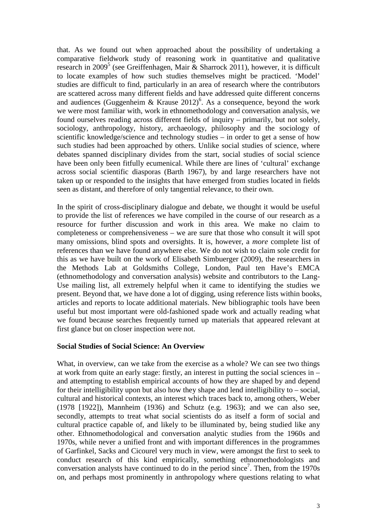that. As we found out when approached about the possibility of undertaking a comparative fieldwork study of reasoning work in quantitative and qualitative research in 2009<sup>5</sup> (see Greiffenhagen, Mair & Sharrock 2011), however, it is difficult to locate examples of how such studies themselves might be practiced. 'Model' studies are difficult to find, particularly in an area of research where the contributors are scattered across many different fields and have addressed quite different concerns and audiences (Guggenheim & Krause  $2012$ )<sup>6</sup>. As a consequence, beyond the work we were most familiar with, work in ethnomethodology and conversation analysis, we found ourselves reading across different fields of inquiry – primarily, but not solely, sociology, anthropology, history, archaeology, philosophy and the sociology of scientific knowledge/science and technology studies – in order to get a sense of how such studies had been approached by others. Unlike social studies of science, where debates spanned disciplinary divides from the start, social studies of social science have been only been fitfully ecumenical. While there are lines of 'cultural' exchange across social scientific diasporas (Barth 1967), by and large researchers have not taken up or responded to the insights that have emerged from studies located in fields seen as distant, and therefore of only tangential relevance, to their own.

In the spirit of cross-disciplinary dialogue and debate, we thought it would be useful to provide the list of references we have compiled in the course of our research as a resource for further discussion and work in this area. We make no claim to completeness or comprehensiveness – we are sure that those who consult it will spot many omissions, blind spots and oversights. It is, however, a *more* complete list of references than we have found anywhere else. We do not wish to claim sole credit for this as we have built on the work of Elisabeth Simbuerger (2009), the researchers in the Methods Lab at Goldsmiths College, London, Paul ten Have's EMCA (ethnomethodology and conversation analysis) website and contributors to the Lang-Use mailing list, all extremely helpful when it came to identifying the studies we present. Beyond that, we have done a lot of digging, using reference lists within books, articles and reports to locate additional materials. New bibliographic tools have been useful but most important were old-fashioned spade work and actually reading what we found because searches frequently turned up materials that appeared relevant at first glance but on closer inspection were not.

#### **Social Studies of Social Science: An Overview**

What, in overview, can we take from the exercise as a whole? We can see two things at work from quite an early stage: firstly, an interest in putting the social sciences in – and attempting to establish empirical accounts of how they are shaped by and depend for their intelligibility upon but also how they shape and lend intelligibility to – social, cultural and historical contexts, an interest which traces back to, among others, Weber (1978 [1922]), Mannheim (1936) and Schutz (e.g. 1963); and we can also see, secondly, attempts to treat what social scientists do as itself a form of social and cultural practice capable of, and likely to be illuminated by, being studied like any other. Ethnomethodological and conversation analytic studies from the 1960s and 1970s, while never a unified front and with important differences in the programmes of Garfinkel, Sacks and Cicourel very much in view, were amongst the first to seek to conduct research of this kind empirically, something ethnomethodologists and conversation analysts have continued to do in the period since<sup>7</sup>. Then, from the 1970s on, and perhaps most prominently in anthropology where questions relating to what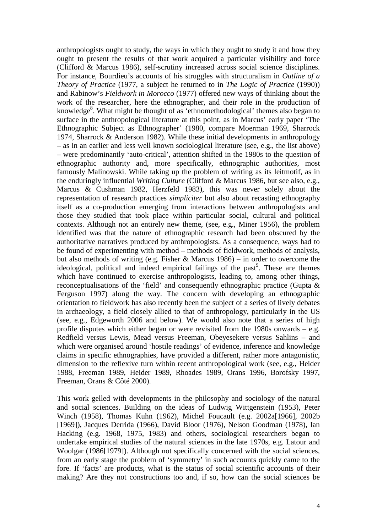anthropologists ought to study, the ways in which they ought to study it and how they ought to present the results of that work acquired a particular visibility and force (Clifford & Marcus 1986), self-scrutiny increased across social science disciplines. For instance, Bourdieu's accounts of his struggles with structuralism in *Outline of a Theory of Practice* (1977, a subject he returned to in *The Logic of Practice* (1990)) and Rabinow's *Fieldwork in Morocco* (1977) offered new ways of thinking about the work of the researcher, here the ethnographer, and their role in the production of knowledge<sup>8</sup>. What might be thought of as 'ethnomethodological' themes also began to surface in the anthropological literature at this point, as in Marcus' early paper 'The Ethnographic Subject as Ethnographer' (1980, compare Moerman 1969, Sharrock 1974, Sharrock & Anderson 1982). While these initial developments in anthropology – as in an earlier and less well known sociological literature (see, e.g., the list above) – were predominantly 'auto-critical', attention shifted in the 1980s to the question of ethnographic authority and, more specifically, ethnographic authorit*ies*, most famously Malinowski. While taking up the problem of writing as its leitmotif, as in the enduringly influential *Writing Culture* (Clifford & Marcus 1986, but see also, e.g., Marcus & Cushman 1982, Herzfeld 1983), this was never solely about the representation of research practices *simpliciter* but also about recasting ethnography itself as a co-production emerging from interactions between anthropologists and those they studied that took place within particular social, cultural and political contexts. Although not an entirely new theme, (see, e.g., Miner 1956), the problem identified was that the nature of ethnographic research had been obscured by the authoritative narratives produced by anthropologists. As a consequence, ways had to be found of experimenting with method – methods of fieldwork, methods of analysis, but also methods of writing (e.g. Fisher & Marcus 1986) – in order to overcome the ideological, political and indeed empirical failings of the past<sup>9</sup>. These are themes which have continued to exercise anthropologists, leading to, among other things, reconceptualisations of the 'field' and consequently ethnographic practice (Gupta & Ferguson 1997) along the way. The concern with developing an ethnographic orientation to fieldwork has also recently been the subject of a series of lively debates in archaeology, a field closely allied to that of anthropology, particularly in the US (see, e.g., Edgeworth 2006 and below). We would also note that a series of high profile disputes which either began or were revisited from the 1980s onwards – e.g. Redfield versus Lewis, Mead versus Freeman, Obeyesekere versus Sahlins – and which were organised around 'hostile readings' of evidence, inference and knowledge claims in specific ethnographies, have provided a different, rather more antagonistic, dimension to the reflexive turn within recent anthropological work (see, e.g., Heider 1988, Freeman 1989, Heider 1989, Rhoades 1989, Orans 1996, Borofsky 1997, Freeman, Orans & Côté 2000).

This work gelled with developments in the philosophy and sociology of the natural and social sciences. Building on the ideas of Ludwig Wittgenstein (1953), Peter Winch (1958), Thomas Kuhn (1962), Michel Foucault (e.g. 2002a[1966], 2002b [1969]), Jacques Derrida (1966), David Bloor (1976), Nelson Goodman (1978), Ian Hacking (e.g. 1968, 1975, 1983) and others, sociological researchers began to undertake empirical studies of the natural sciences in the late 1970s, e.g. Latour and Woolgar (1986[1979]). Although not specifically concerned with the social sciences, from an early stage the problem of 'symmetry' in such accounts quickly came to the fore. If 'facts' are products, what is the status of social scientific accounts of their making? Are they not constructions too and, if so, how can the social sciences be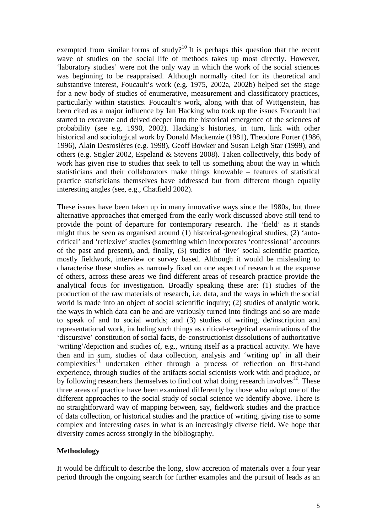exempted from similar forms of study?<sup>10</sup> It is perhaps this question that the recent wave of studies on the social life of methods takes up most directly. However, 'laboratory studies' were not the only way in which the work of the social sciences was beginning to be reappraised. Although normally cited for its theoretical and substantive interest, Foucault's work (e.g. 1975, 2002a, 2002b) helped set the stage for a new body of studies of enumerative, measurement and classificatory practices, particularly within statistics. Foucault's work, along with that of Wittgenstein, has been cited as a major influence by Ian Hacking who took up the issues Foucault had started to excavate and delved deeper into the historical emergence of the sciences of probability (see e.g. 1990, 2002). Hacking's histories, in turn, link with other historical and sociological work by Donald Mackenzie (1981), Theodore Porter (1986, 1996), Alain Desrosières (e.g. 1998), Geoff Bowker and Susan Leigh Star (1999), and others (e.g. Stigler 2002, Espeland & Stevens 2008). Taken collectively, this body of work has given rise to studies that seek to tell us something about the way in which statisticians and their collaborators make things knowable – features of statistical practice statisticians themselves have addressed but from different though equally interesting angles (see, e.g., Chatfield 2002).

These issues have been taken up in many innovative ways since the 1980s, but three alternative approaches that emerged from the early work discussed above still tend to provide the point of departure for contemporary research. The 'field' as it stands might thus be seen as organised around (1) historical-genealogical studies, (2) 'autocritical' and 'reflexive' studies (something which incorporates 'confessional' accounts of the past and present), and, finally, (3) studies of 'live' social scientific practice, mostly fieldwork, interview or survey based. Although it would be misleading to characterise these studies as narrowly fixed on one aspect of research at the expense of others, across these areas we find different areas of research practice provide the analytical focus for investigation. Broadly speaking these are: (1) studies of the production of the raw materials of research, i.e. data, and the ways in which the social world is made into an object of social scientific inquiry; (2) studies of analytic work, the ways in which data can be and are variously turned into findings and so are made to speak of and to social worlds; and (3) studies of writing, de/inscription and representational work, including such things as critical-exegetical examinations of the 'discursive' constitution of social facts, de-constructionist dissolutions of authoritative 'writing'/depiction and studies of, e.g., writing itself as a practical activity. We have then and in sum, studies of data collection, analysis and 'writing up' in all their  $complexities<sup>11</sup>$  undertaken either through a process of reflection on first-hand experience, through studies of the artifacts social scientists work with and produce, or by following researchers themselves to find out what doing research involves $12$ . These three areas of practice have been examined differently by those who adopt one of the different approaches to the social study of social science we identify above. There is no straightforward way of mapping between, say, fieldwork studies and the practice of data collection, or historical studies and the practice of writing, giving rise to some complex and interesting cases in what is an increasingly diverse field. We hope that diversity comes across strongly in the bibliography.

#### **Methodology**

It would be difficult to describe the long, slow accretion of materials over a four year period through the ongoing search for further examples and the pursuit of leads as an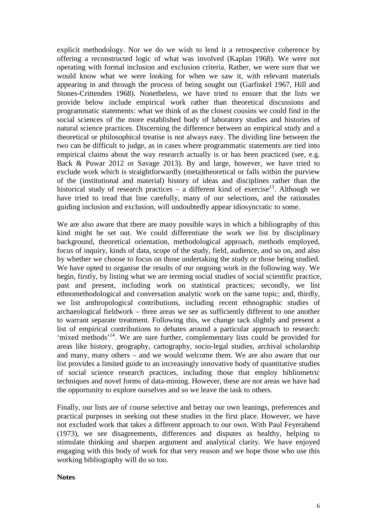explicit methodology. Nor we do we wish to lend it a retrospective coherence by offering a reconstructed logic of what was involved (Kaplan 1968). We were not operating with formal inclusion and exclusion criteria. Rather, we were sure that we would know what we were looking for when we saw it, with relevant materials appearing in and through the process of being sought out (Garfinkel 1967, Hill and Stones-Crittenden 1968). Nonetheless, we have tried to ensure that the lists we provide below include empirical work rather than theoretical discussions and programmatic statements: what we think of as the closest cousins we could find in the social sciences of the more established body of laboratory studies and histories of natural science practices. Discerning the difference between an empirical study and a theoretical or philosophical treatise is not always easy. The dividing line between the two can be difficult to judge, as in cases where programmatic statements are tied into empirical claims about the way research actually is or has been practiced (see, e.g. Back & Puwar 2012 or Savage 2013). By and large, however, we have tried to exclude work which is straightforwardly (meta)theoretical or falls within the purview of the (institutional and material) history of ideas and disciplines rather than the historical study of research practices  $-$  a different kind of exercise<sup>13</sup>. Although we have tried to tread that line carefully, many of our selections, and the rationales guiding inclusion and exclusion, will undoubtedly appear idiosyncratic to some.

We are also aware that there are many possible ways in which a bibliography of this kind might be set out. We could differentiate the work we list by disciplinary background, theoretical orientation, methodological approach, methods employed, focus of inquiry, kinds of data, scope of the study, field, audience, and so on, and also by whether we choose to focus on those undertaking the study or those being studied. We have opted to organise the results of our ongoing work in the following way. We begin, firstly, by listing what we are terming social studies of social scientific practice, past and present, including work on statistical practices; secondly, we list ethnomethodological and conversation analytic work on the same topic; and, thirdly, we list anthropological contributions, including recent ethnographic studies of archaeological fieldwork – three areas we see as sufficiently different to one another to warrant separate treatment. Following this, we change tack slightly and present a list of empirical contributions to debates around a particular approach to research: 'mixed methods'<sup>14</sup>. We are sure further, complementary lists could be provided for areas like history, geography, cartography, socio-legal studies, archival scholarship and many, many others – and we would welcome them. We are also aware that our list provides a limited guide to an increasingly innovative body of quantitative studies of social science research practices, including those that employ bibliometric techniques and novel forms of data-mining. However, these are not areas we have had the opportunity to explore ourselves and so we leave the task to others.

Finally, our lists are of course selective and betray our own leanings, preferences and practical purposes in seeking out these studies in the first place. However, we have not excluded work that takes a different approach to our own. With Paul Feyerabend (1973), we see disagreements, differences and disputes as healthy, helping to stimulate thinking and sharpen argument and analytical clarity. We have enjoyed engaging with this body of work for that very reason and we hope those who use this working bibliography will do so too.

#### **Notes**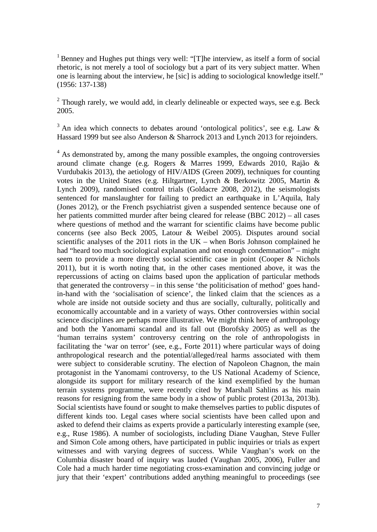<sup>1</sup> Benney and Hughes put things very well: "[T]he interview, as itself a form of social rhetoric, is not merely a tool of sociology but a part of its very subject matter. When one is learning about the interview, he [sic] is adding to sociological knowledge itself." (1956: 137-138)

 $2$  Though rarely, we would add, in clearly delineable or expected ways, see e.g. Beck 2005.

 $3$  An idea which connects to debates around 'ontological politics', see e.g. Law  $\&$ Hassard 1999 but see also Anderson & Sharrock 2013 and Lynch 2013 for rejoinders.

 $4$  As demonstrated by, among the many possible examples, the ongoing controversies around climate change (e.g. Rogers & Marres 1999, Edwards 2010, Rajão & Vurdubakis 2013), the aetiology of HIV/AIDS (Green 2009), techniques for counting votes in the United States (e.g. Hiltgartner, Lynch & Berkowitz 2005, Martin & Lynch 2009), randomised control trials (Goldacre 2008, 2012), the seismologists sentenced for manslaughter for failing to predict an earthquake in L'Aquila, Italy (Jones 2012), or the French psychiatrist given a suspended sentence because one of her patients committed murder after being cleared for release (BBC 2012) – all cases where questions of method and the warrant for scientific claims have become public concerns (see also Beck 2005, Latour & Weibel 2005). Disputes around social scientific analyses of the  $2011$  riots in the UK – when Boris Johnson complained he had "heard too much sociological explanation and not enough condemnation" – might seem to provide a more directly social scientific case in point (Cooper & Nichols 2011), but it is worth noting that, in the other cases mentioned above, it was the repercussions of acting on claims based upon the application of particular methods that generated the controversy – in this sense 'the politicisation of method' goes handin-hand with the 'socialisation of science', the linked claim that the sciences as a whole are inside not outside society and thus are socially, culturally, politically and economically accountable and in a variety of ways. Other controversies within social science disciplines are perhaps more illustrative. We might think here of anthropology and both the Yanomami scandal and its fall out (Borofsky 2005) as well as the 'human terrains system' controversy centring on the role of anthropologists in facilitating the 'war on terror' (see, e.g., Forte 2011) where particular ways of doing anthropological research and the potential/alleged/real harms associated with them were subject to considerable scrutiny. The election of Napoleon Chagnon, the main protagonist in the Yanomami controversy, to the US National Academy of Science, alongside its support for military research of the kind exemplified by the human terrain systems programme, were recently cited by Marshall Sahlins as his main reasons for resigning from the same body in a show of public protest (2013a, 2013b). Social scientists have found or sought to make themselves parties to public disputes of different kinds too. Legal cases where social scientists have been called upon and asked to defend their claims as experts provide a particularly interesting example (see, e.g., Ruse 1986). A number of sociologists, including Diane Vaughan, Steve Fuller and Simon Cole among others, have participated in public inquiries or trials as expert witnesses and with varying degrees of success. While Vaughan's work on the Columbia disaster board of inquiry was lauded (Vaughan 2005, 2006), Fuller and Cole had a much harder time negotiating cross-examination and convincing judge or jury that their 'expert' contributions added anything meaningful to proceedings (see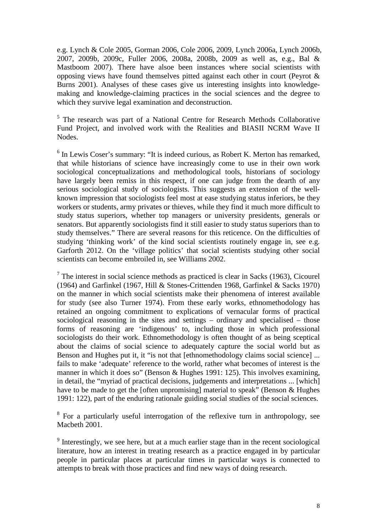e.g. Lynch & Cole 2005, Gorman 2006, Cole 2006, 2009, Lynch 2006a, Lynch 2006b, 2007, 2009b, 2009c, Fuller 2006, 2008a, 2008b, 2009 as well as, e.g., Bal & Mastboom 2007). There have alsoe been instances where social scientists with opposing views have found themselves pitted against each other in court (Peyrot & Burns 2001). Analyses of these cases give us interesting insights into knowledgemaking and knowledge-claiming practices in the social sciences and the degree to which they survive legal examination and deconstruction.

<sup>5</sup> The research was part of a National Centre for Research Methods Collaborative Fund Project, and involved work with the Realities and BIASII NCRM Wave II Nodes.

 $6$  In Lewis Coser's summary: "It is indeed curious, as Robert K. Merton has remarked, that while historians of science have increasingly come to use in their own work sociological conceptualizations and methodological tools, historians of sociology have largely been remiss in this respect, if one can judge from the dearth of any serious sociological study of sociologists. This suggests an extension of the wellknown impression that sociologists feel most at ease studying status inferiors, be they workers or students, army privates or thieves, while they find it much more difficult to study status superiors, whether top managers or university presidents, generals or senators. But apparently sociologists find it still easier to study status superiors than to study themselves." There are several reasons for this reticence. On the difficulties of studying 'thinking work' of the kind social scientists routinely engage in, see e.g. Garforth 2012. On the 'village politics' that social scientists studying other social scientists can become embroiled in, see Williams 2002.

 $<sup>7</sup>$  The interest in social science methods as practiced is clear in Sacks (1963), Cicourel</sup> (1964) and Garfinkel (1967, Hill & Stones-Crittenden 1968, Garfinkel & Sacks 1970) on the manner in which social scientists make their phenomena of interest available for study (see also Turner 1974). From these early works, ethnomethodology has retained an ongoing commitment to explications of vernacular forms of practical sociological reasoning in the sites and settings – ordinary and specialised – those forms of reasoning are 'indigenous' to, including those in which professional sociologists do their work. Ethnomethodology is often thought of as being sceptical about the claims of social science to adequately capture the social world but as Benson and Hughes put it, it "is not that [ethnomethodology claims social science] ... fails to make 'adequate' reference to the world, rather what becomes of interest is the manner in which it does so" (Benson & Hughes 1991: 125). This involves examining, in detail, the "myriad of practical decisions, judgements and interpretations ... [which] have to be made to get the [often unpromising] material to speak" (Benson & Hughes 1991: 122), part of the enduring rationale guiding social studies of the social sciences.

<sup>8</sup> For a particularly useful interrogation of the reflexive turn in anthropology, see Macbeth 2001.

<sup>9</sup> Interestingly, we see here, but at a much earlier stage than in the recent sociological literature, how an interest in treating research as a practice engaged in by particular people in particular places at particular times in particular ways is connected to attempts to break with those practices and find new ways of doing research.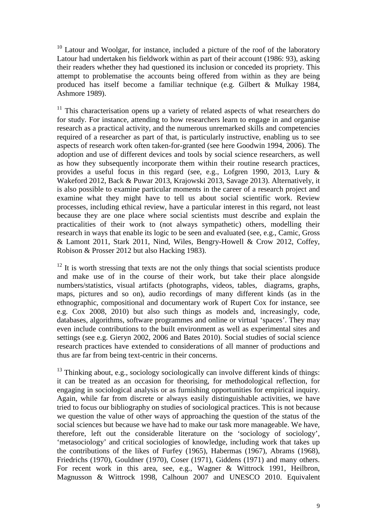<sup>10</sup> Latour and Woolgar, for instance, included a picture of the roof of the laboratory Latour had undertaken his fieldwork within as part of their account (1986: 93), asking their readers whether they had questioned its inclusion or conceded its propriety. This attempt to problematise the accounts being offered from within as they are being produced has itself become a familiar technique (e.g. Gilbert & Mulkay 1984, Ashmore 1989).

 $11$  This characterisation opens up a variety of related aspects of what researchers do for study. For instance, attending to how researchers learn to engage in and organise research as a practical activity, and the numerous unremarked skills and competencies required of a researcher as part of that, is particularly instructive, enabling us to see aspects of research work often taken-for-granted (see here Goodwin 1994, 2006). The adoption and use of different devices and tools by social science researchers, as well as how they subsequently incorporate them within their routine research practices, provides a useful focus in this regard (see, e.g., Lofgren 1990, 2013, Lury & Wakeford 2012, Back & Puwar 2013, Krajowski 2013, Savage 2013). Alternatively, it is also possible to examine particular moments in the career of a research project and examine what they might have to tell us about social scientific work. Review processes, including ethical review, have a particular interest in this regard, not least because they are one place where social scientists must describe and explain the practicalities of their work to (not always sympathetic) others, modelling their research in ways that enable its logic to be seen and evaluated (see, e.g., Camic, Gross & Lamont 2011, Stark 2011, Nind, Wiles, Bengry-Howell & Crow 2012, Coffey, Robison & Prosser 2012 but also Hacking 1983).

 $12$  It is worth stressing that texts are not the only things that social scientists produce and make use of in the course of their work, but take their place alongside numbers/statistics, visual artifacts (photographs, videos, tables, diagrams, graphs, maps, pictures and so on), audio recordings of many different kinds (as in the ethnographic, compositional and documentary work of Rupert Cox for instance, see e.g. Cox 2008, 2010) but also such things as models and, increasingly, code, databases, algorithms, software programmes and online or virtual 'spaces'. They may even include contributions to the built environment as well as experimental sites and settings (see e.g. Gieryn 2002, 2006 and Bates 2010). Social studies of social science research practices have extended to considerations of all manner of productions and thus are far from being text-centric in their concerns.

<sup>13</sup> Thinking about, e.g., sociology sociologically can involve different kinds of things: it can be treated as an occasion for theorising, for methodological reflection, for engaging in sociological analysis or as furnishing opportunities for empirical inquiry. Again, while far from discrete or always easily distinguishable activities, we have tried to focus our bibliography on studies of sociological practices. This is not because we question the value of other ways of approaching the question of the status of the social sciences but because we have had to make our task more manageable. We have, therefore, left out the considerable literature on the 'sociology of sociology', 'metasociology' and critical sociologies of knowledge, including work that takes up the contributions of the likes of Furfey (1965), Habermas (1967), Abrams (1968), Friedrichs (1970), Gouldner (1970), Coser (1971), Giddens (1971) and many others. For recent work in this area, see, e.g., Wagner & Wittrock 1991, Heilbron, Magnusson & Wittrock 1998, Calhoun 2007 and UNESCO 2010. Equivalent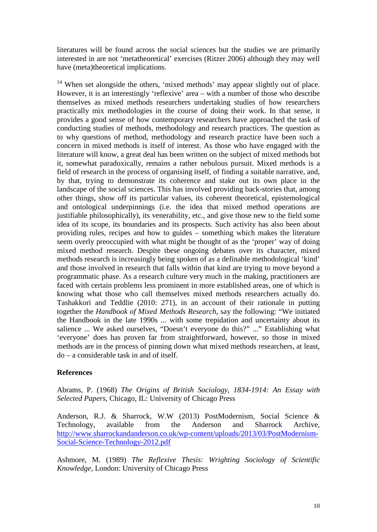literatures will be found across the social sciences but the studies we are primarily interested in are not 'metatheoretical' exercises (Ritzer 2006) although they may well have (meta)theoretical implications.

<sup>14</sup> When set alongside the others, 'mixed methods' may appear slightly out of place. However, it is an interestingly 'reflexive' area – with a number of those who describe themselves as mixed methods researchers undertaking studies of how researchers practically mix methodologies in the course of doing their work. In that sense, it provides a good sense of how contemporary researchers have approached the task of conducting studies of methods, methodology and research practices. The question as to why questions of method, methodology and research practice have been such a concern in mixed methods is itself of interest. As those who have engaged with the literature will know, a great deal has been written on the subject of mixed methods but it, somewhat paradoxically, remains a rather nebulous pursuit. Mixed methods is a field of research in the process of organising itself, of finding a suitable narrative, and, by that, trying to demonstrate its coherence and stake out its own place in the landscape of the social sciences. This has involved providing back-stories that, among other things, show off its particular values, its coherent theoretical, epistemological and ontological underpinnings (i.e. the idea that mixed method operations are justifiable philosophically), its venerability, etc., and give those new to the field some idea of its scope, its boundaries and its prospects. Such activity has also been about providing rules, recipes and how to guides – something which makes the literature seem overly preoccupied with what might be thought of as the 'proper' way of doing mixed method research. Despite these ongoing debates over its character, mixed methods research is increasingly being spoken of as a definable methodological 'kind' and those involved in research that falls within that kind are trying to move beyond a programmatic phase. As a research culture very much in the making, practitioners are faced with certain problems less prominent in more established areas, one of which is knowing what those who call themselves mixed methods researchers actually do. Tashakkori and Teddlie (2010: 271), in an account of their rationale in putting together the *Handbook of Mixed Methods Research*, say the following: "We initiated the Handbook in the late 1990s ... with some trepidation and uncertainty about its salience ... We asked ourselves, "Doesn't everyone do this?" ..." Establishing what 'everyone' does has proven far from straightforward, however, so those in mixed methods are in the process of pinning down what mixed methods researchers, at least, do – a considerable task in and of itself.

#### **References**

Abrams, P. (1968) *The Origins of British Sociology, 1834-1914: An Essay with Selected Papers*, Chicago, IL: University of Chicago Press

Anderson, R.J. & Sharrock, W.W (2013) PostModernism, Social Science & Technology, available from the Anderson and Sharrock Archive, [http://www.sharrockandanderson.co.uk/wp-content/uploads/2013/03/PostModernism-](http://www.sharrockandanderson.co.uk/wp-content/uploads/2013/03/PostModernism-Social-Science-Technology-2012.pdf)[Social-Science-Technology-2012.pdf](http://www.sharrockandanderson.co.uk/wp-content/uploads/2013/03/PostModernism-Social-Science-Technology-2012.pdf)

Ashmore, M. (1989) *The Reflexive Thesis: Wrighting Sociology of Scientific Knowledge*, London: University of Chicago Press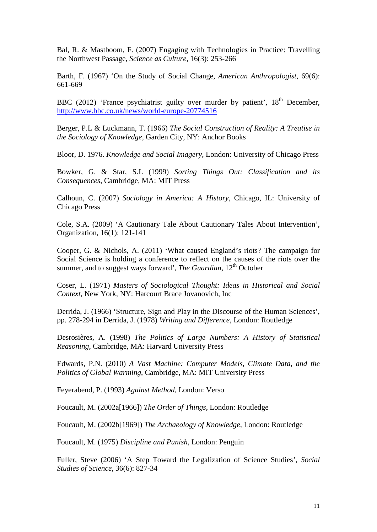Bal, R. & Mastboom, F. (2007) Engaging with Technologies in Practice: Travelling the Northwest Passage, *Science as Culture,* 16(3): 253-266

Barth, F. (1967) 'On the Study of Social Change, *American Anthropologist*, 69(6): 661-669

BBC (2012) 'France psychiatrist guilty over murder by patient',  $18<sup>th</sup>$  December, <http://www.bbc.co.uk/news/world-europe-20774516>

Berger, P.L & Luckmann, T. (1966) *The Social Construction of Reality: A Treatise in the Sociology of Knowledge*, Garden City, NY: Anchor Books

Bloor, D. 1976. *Knowledge and Social Imagery*, London: University of Chicago Press

Bowker, G. & Star, S.L (1999) *Sorting Things Out: Classification and its Consequences*, Cambridge, MA: MIT Press

Calhoun, C. (2007) *Sociology in America: A History*, Chicago, IL: University of Chicago Press

Cole, S.A. (2009) 'A Cautionary Tale About Cautionary Tales About Intervention', Organization, 16(1): 121-141

Cooper, G. & Nichols, A. (2011) 'What caused England's riots? The campaign for Social Science is holding a conference to reflect on the causes of the riots over the summer, and to suggest ways forward', *The Guardian*, 12<sup>th</sup> October

Coser, L. (1971) *Masters of Sociological Thought: Ideas in Historical and Social Context*, New York, NY: Harcourt Brace Jovanovich, Inc

Derrida, J. (1966) 'Structure, Sign and Play in the Discourse of the Human Sciences', pp. 278-294 in Derrida, J. (1978) *Writing and Difference*, London: Routledge

Desrosières, A. (1998) *The Politics of Large Numbers: A History of Statistical Reasoning*, Cambridge, MA: Harvard University Press

Edwards, P.N. (2010) *A Vast Machine: Computer Models, Climate Data, and the Politics of Global Warming*, Cambridge, MA: MIT University Press

Feyerabend, P. (1993) *Against Method*, London: Verso

Foucault, M. (2002a[1966]) *The Order of Things*, London: Routledge

Foucault, M. (2002b[1969]) *The Archaeology of Knowledge*, London: Routledge

Foucault, M. (1975) *Discipline and Punish*, London: Penguin

Fuller, Steve (2006) 'A Step Toward the Legalization of Science Studies', *Social Studies of Science*, 36(6): 827-34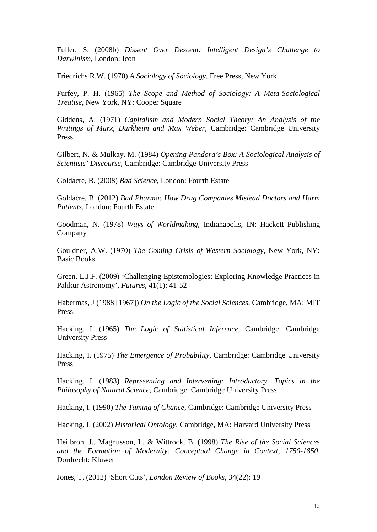Fuller, S. (2008b) *Dissent Over Descent: Intelligent Design's Challenge to Darwinism*, London: Icon

Friedrichs R.W. (1970) *A Sociology of Sociology*, Free Press, New York

Furfey, P. H. (1965) *The Scope and Method of Sociology: A Meta-Sociological Treatise*, New York, NY: Cooper Square

Giddens, A. (1971) *Capitalism and Modern Social Theory: An Analysis of the Writings of Marx, Durkheim and Max Weber*, Cambridge: Cambridge University Press

Gilbert, N. & Mulkay, M. (1984) *Opening Pandora's Box: A Sociological Analysis of Scientists' Discourse*, Cambridge: Cambridge University Press

Goldacre, B. (2008) *Bad Science*, London: Fourth Estate

Goldacre, B. (2012) *Bad Pharma: How Drug Companies Mislead Doctors and Harm Patients*, London: Fourth Estate

Goodman, N. (1978) *Ways of Worldmaking*, Indianapolis, IN: Hackett Publishing Company

Gouldner, A.W. (1970) *The Coming Crisis of Western Sociology*, New York, NY: Basic Books

Green, L.J.F. (2009) 'Challenging Epistemologies: Exploring Knowledge Practices in Palikur Astronomy', *Futures*, 41(1): 41-52

Habermas, J (1988 [1967]) *On the Logic of the Social Sciences*, Cambridge, MA: MIT Press.

Hacking, I. (1965) *The Logic of Statistical Inference*, Cambridge: Cambridge University Press

Hacking, I. (1975) *The Emergence of Probability*, Cambridge: Cambridge University Press

Hacking, I. (1983) *Representing and Intervening: Introductory. Topics in the Philosophy of Natural Science*, Cambridge: Cambridge University Press

Hacking, I. (1990) *The Taming of Chance*, Cambridge: Cambridge University Press

Hacking, I. (2002) *Historical Ontology*, Cambridge, MA: Harvard University Press

Heilbron, J., Magnusson, L. & Wittrock, B. (1998) *The Rise of the Social Sciences and the Formation of Modernity: Conceptual Change in Context, 1750-1850*, Dordrecht: Kluwer

Jones, T. (2012) 'Short Cuts', *London Review of Books*, 34(22): 19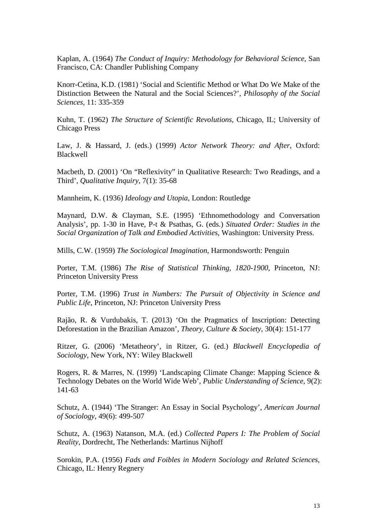Kaplan, A. (1964) *The Conduct of Inquiry: Methodology for Behavioral Science*, San Francisco, CA: Chandler Publishing Company

Knorr-Cetina, K.D. (1981) 'Social and Scientific Method or What Do We Make of the Distinction Between the Natural and the Social Sciences?', *Philosophy of the Social Sciences*, 11: 335-359

Kuhn, T. (1962) *The Structure of Scientific Revolutions*, Chicago, IL; University of Chicago Press

Law, J. & Hassard, J. (eds.) (1999) *Actor Network Theory: and After*, Oxford: Blackwell

Macbeth, D. (2001) 'On "Reflexivity" in Qualitative Research: Two Readings, and a Third', *Qualitative Inquiry*, 7(1): 35-68

Mannheim, K. (1936) *Ideology and Utopia*, London: Routledge

Maynard, D.W. & Clayman, S.E. (1995) 'Ethnomethodology and Conversation Analysis', pp. 1-30 in Have, P-t & Psathas, G. (eds.) *Situated Order: Studies in the Social Organization of Talk and Embodied Activities*, Washington: University Press.

Mills, C.W. (1959) *The Sociological Imagination*, Harmondsworth: Penguin

Porter, T.M. (1986) *The Rise of Statistical Thinking, 1820-1900*, Princeton, NJ: Princeton University Press

Porter, T.M. (1996) *Trust in Numbers: The Pursuit of Objectivity in Science and Public Life*, Princeton, NJ: Princeton University Press

Rajão, R. & Vurdubakis, T. (2013) 'On the Pragmatics of Inscription: Detecting Deforestation in the Brazilian Amazon', *Theory, Culture & Society*, 30(4): 151-177

Ritzer, G. (2006) 'Metatheory', in Ritzer, G. (ed.) *Blackwell Encyclopedia of Sociology*, New York, NY: Wiley Blackwell

Rogers, R. & Marres, N. (1999) 'Landscaping Climate Change: Mapping Science & Technology Debates on the World Wide Web', *Public Understanding of Science*, 9(2): 141-63

Schutz, A. (1944) 'The Stranger: An Essay in Social Psychology', *American Journal of Sociology*, 49(6): 499-507

Schutz, A. (1963) Natanson, M.A. (ed.) *Collected Papers I: The Problem of Social Reality*, Dordrecht, The Netherlands: Martinus Nijhoff

Sorokin, P.A. (1956) *Fads and Foibles in Modern Sociology and Related Sciences*, Chicago, IL: Henry Regnery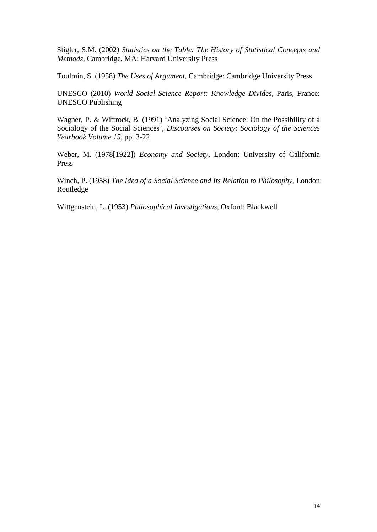Stigler, S.M. (2002) *Statistics on the Table: The History of Statistical Concepts and Methods*, Cambridge, MA: Harvard University Press

Toulmin, S. (1958) *The Uses of Argument*, Cambridge: Cambridge University Press

UNESCO (2010) *World Social Science Report: Knowledge Divides*, Paris, France: UNESCO Publishing

Wagner, P. & Wittrock, B. (1991) 'Analyzing Social Science: On the Possibility of a Sociology of the Social Sciences', *Discourses on Society: Sociology of the Sciences Yearbook Volume 15*, pp. 3-22

Weber, M. (1978[1922]) *Economy and Society*, London: University of California Press

Winch, P. (1958) *The Idea of a Social Science and Its Relation to Philosophy*, London: Routledge

Wittgenstein, L. (1953) *Philosophical Investigations*, Oxford: Blackwell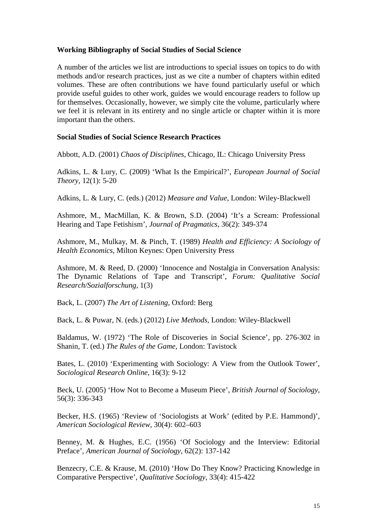#### **Working Bibliography of Social Studies of Social Science**

A number of the articles we list are introductions to special issues on topics to do with methods and/or research practices, just as we cite a number of chapters within edited volumes. These are often contributions we have found particularly useful or which provide useful guides to other work, guides we would encourage readers to follow up for themselves. Occasionally, however, we simply cite the volume, particularly where we feel it is relevant in its entirety and no single article or chapter within it is more important than the others.

#### **Social Studies of Social Science Research Practices**

Abbott, A.D. (2001) *Chaos of Disciplines*, Chicago, IL: Chicago University Press

Adkins, L. & Lury, C. (2009) 'What Is the Empirical?', *European Journal of Social Theory*, 12(1): 5-20

Adkins, L. & Lury, C. (eds.) (2012) *Measure and Value*, London: Wiley-Blackwell

Ashmore, M., MacMillan, K. & Brown, S.D. (2004) 'It's a Scream: Professional Hearing and Tape Fetishism', *Journal of Pragmatics*, 36(2): 349-374

Ashmore, M., Mulkay, M. & Pinch, T. (1989) *Health and Efficiency: A Sociology of Health Economics*, Milton Keynes: Open University Press

Ashmore, M. & Reed, D. (2000) 'Innocence and Nostalgia in Conversation Analysis: The Dynamic Relations of Tape and Transcript', *Forum: Qualitative Social Research/Sozialforschung*, 1(3)

Back, L. (2007) *The Art of Listening*, Oxford: Berg

Back, L. & Puwar, N. (eds.) (2012) *Live Methods*, London: Wiley-Blackwell

Baldamus, W. (1972) 'The Role of Discoveries in Social Science', pp. 276-302 in Shanin, T. (ed.) *The Rules of the Game*, London: Tavistock

Bates, L. (2010) 'Experimenting with Sociology: A View from the Outlook Tower', *Sociological Research Online*, 16(3): 9-12

Beck, U. (2005) 'How Not to Become a Museum Piece', *British Journal of Sociology*, 56(3): 336-343

Becker, H.S. (1965) 'Review of 'Sociologists at Work' (edited by P.E. Hammond)', *American Sociological Review*, 30(4): 602–603

Benney, M. & Hughes, E.C. (1956) 'Of Sociology and the Interview: Editorial Preface', *American Journal of Sociology*, 62(2): 137-142

Benzecry, C.E. & Krause, M. (2010) 'How Do They Know? Practicing Knowledge in Comparative Perspective', *Qualitative Sociology*, 33(4): 415-422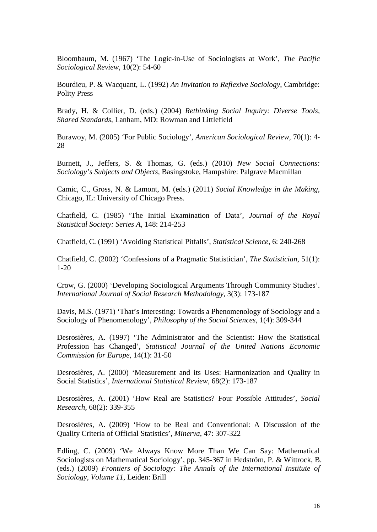Bloombaum, M. (1967) 'The Logic-in-Use of Sociologists at Work', *The Pacific Sociological Review*, 10(2): 54-60

Bourdieu, P. & Wacquant, L. (1992) *An Invitation to Reflexive Sociology*, Cambridge: Polity Press

Brady, H. & Collier, D. (eds.) (2004) *Rethinking Social Inquiry: Diverse Tools, Shared Standards*, Lanham, MD: Rowman and Littlefield

Burawoy, M. (2005) 'For Public Sociology', *American Sociological Review*, 70(1): 4- 28

Burnett, J., Jeffers, S. & Thomas, G. (eds.) (2010) *New Social Connections: Sociology's Subjects and Objects,* Basingstoke, Hampshire: Palgrave Macmillan

Camic, C., Gross, N. & Lamont, M. (eds.) (2011) *Social Knowledge in the Making*, Chicago, IL: University of Chicago Press.

Chatfield, C. (1985) 'The Initial Examination of Data', *Journal of the Royal Statistical Society: Series A*, 148: 214-253

Chatfield, C. (1991) 'Avoiding Statistical Pitfalls', *Statistical Science*, 6: 240-268

Chatfield, C. (2002) 'Confessions of a Pragmatic Statistician', *The Statistician*, 51(1): 1-20

Crow, G. (2000) 'Developing Sociological Arguments Through Community Studies'. *International Journal of Social Research Methodology*, 3(3): 173-187

Davis, M.S. (1971) 'That's Interesting: Towards a Phenomenology of Sociology and a Sociology of Phenomenology', *Philosophy of the Social Sciences*, 1(4): 309-344

Desrosières, A. (1997) 'The Administrator and the Scientist: How the Statistical Profession has Changed', *Statistical Journal of the United Nations Economic Commission for Europe*, 14(1): 31-50

Desrosières, A. (2000) 'Measurement and its Uses: Harmonization and Quality in Social Statistics', *International Statistical Review*, 68(2): 173-187

Desrosières, A. (2001) 'How Real are Statistics? Four Possible Attitudes', *Social Research*, 68(2): 339-355

Desrosières, A. (2009) 'How to be Real and Conventional: A Discussion of the Quality Criteria of Official Statistics', *Minerva*, 47: 307-322

Edling, C. (2009) 'We Always Know More Than We Can Say: Mathematical Sociologists on Mathematical Sociology', pp. 345-367 in Hedström, P. & Wittrock, B. (eds.) (2009) *Frontiers of Sociology: The Annals of the International Institute of Sociology, Volume 11*, Leiden: Brill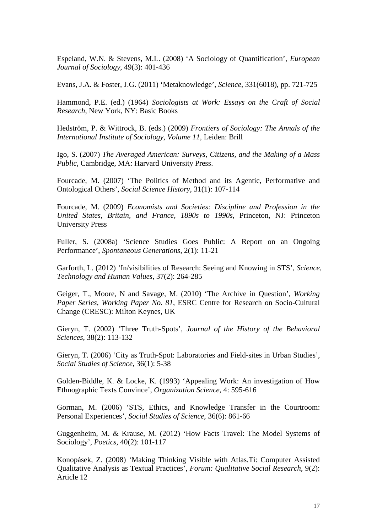Espeland, W.N. & Stevens, M.L. (2008) 'A Sociology of Quantification', *European Journal of Sociology*, 49(3): 401-436

Evans, J.A. & Foster, J.G. (2011) 'Metaknowledge', *Science*, 331(6018), pp. 721-725

Hammond, P.E. (ed.) (1964) *Sociologists at Work: Essays on the Craft of Social Research*, New York, NY: Basic Books

Hedström, P. & Wittrock, B. (eds.) (2009) *Frontiers of Sociology: The Annals of the International Institute of Sociology, Volume 11*, Leiden: Brill

Igo, S. (2007) *The Averaged American: Surveys, Citizens, and the Making of a Mass Public*, Cambridge, MA: Harvard University Press.

Fourcade, M. (2007) 'The Politics of Method and its Agentic, Performative and Ontological Others', *Social Science History*, 31(1): 107-114

Fourcade, M. (2009) *Economists and Societies: Discipline and Profession in the United States, Britain, and France, 1890s to 1990s*, Princeton, NJ: Princeton University Press

Fuller, S. (2008a) 'Science Studies Goes Public: A Report on an Ongoing Performance', *Spontaneous Generations*, 2(1): 11-21

Garforth, L. (2012) 'In/visibilities of Research: Seeing and Knowing in STS', *Science, Technology and Human Values*, 37(2): 264-285

Geiger, T., Moore, N and Savage, M. (2010) 'The Archive in Question', *Working Paper Series, Working Paper No. 81*, ESRC Centre for Research on Socio-Cultural Change (CRESC): Milton Keynes, UK

Gieryn, T. (2002) 'Three Truth-Spots', *Journal of the History of the Behavioral Sciences*, 38(2): 113-132

Gieryn, T. (2006) 'City as Truth-Spot: Laboratories and Field-sites in Urban Studies', *Social Studies of Science*, 36(1): 5-38

Golden-Biddle, K. & Locke, K. (1993) 'Appealing Work: An investigation of How Ethnographic Texts Convince', *Organization Science*, 4: 595-616

Gorman, M. (2006) 'STS, Ethics, and Knowledge Transfer in the Courtroom: Personal Experiences', *Social Studies of Science*, 36(6): 861-66

Guggenheim, M. & Krause, M. (2012) 'How Facts Travel: The Model Systems of Sociology', *Poetics*, 40(2): 101-117

Konopásek, Z. (2008) 'Making Thinking Visible with Atlas.Ti: Computer Assisted Qualitative Analysis as Textual Practices', *Forum: Qualitative Social Research*, 9(2): Article 12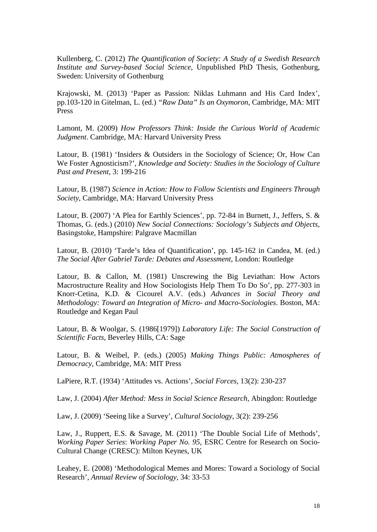Kullenberg, C. (2012) *The Quantification of Society: A Study of a Swedish Research Institute and Survey-based Social Science*, Unpublished PhD Thesis, Gothenburg, Sweden: University of Gothenburg

Krajowski, M. (2013) 'Paper as Passion: Niklas Luhmann and His Card Index', pp.103-120 in Gitelman, L. (ed.) *"Raw Data" Is an Oxymoron*, Cambridge, MA: MIT Press

Lamont, M. (2009) *How Professors Think: Inside the Curious World of Academic Judgment*. Cambridge, MA: Harvard University Press

Latour, B. (1981) 'Insiders & Outsiders in the Sociology of Science; Or, How Can We Foster Agnosticism?', *Knowledge and Society: Studies in the Sociology of Culture Past and Present*, 3: 199-216

Latour, B. (1987) *Science in Action: How to Follow Scientists and Engineers Through Society*, Cambridge, MA: Harvard University Press

Latour, B. (2007) 'A Plea for Earthly Sciences', pp. 72-84 in Burnett, J., Jeffers, S. & Thomas, G. (eds.) (2010) *New Social Connections: Sociology's Subjects and Objects,* Basingstoke, Hampshire: Palgrave Macmillan

Latour, B. (2010) 'Tarde's Idea of Quantification', pp. 145-162 in Candea, M. (ed.) *The Social After Gabriel Tarde: Debates and Assessment*, London: Routledge

Latour, B. & Callon, M. (1981) Unscrewing the Big Leviathan: How Actors Macrostructure Reality and How Sociologists Help Them To Do So', pp. 277-303 in Knorr-Cetina, K.D. & Cicourel A.V. (eds.) *Advances in Social Theory and Methodology: Toward an Integration of Micro- and Macro-Sociologies*. Boston, MA: Routledge and Kegan Paul

Latour, B. & Woolgar, S. (1986[1979]) *Laboratory Life: The Social Construction of Scientific Facts*, Beverley Hills, CA: Sage

Latour, B. & Weibel, P. (eds.) (2005) *Making Things Public: Atmospheres of Democracy*, Cambridge, MA: MIT Press

LaPiere, R.T. (1934) 'Attitudes vs. Actions', *Social Forces*, 13(2): 230-237

Law, J. (2004) *After Method: Mess in Social Science Research*, Abingdon: Routledge

Law, J. (2009) 'Seeing like a Survey', *Cultural Sociology*, 3(2): 239-256

Law, J., Ruppert, E.S. & Savage, M. (2011) 'The Double Social Life of Methods', *Working Paper Series*: *Working Paper No. 95*, ESRC Centre for Research on Socio-Cultural Change (CRESC): Milton Keynes, UK

Leahey, E. (2008) 'Methodological Memes and Mores: Toward a Sociology of Social Research', *Annual Review of Sociology*, 34: 33-53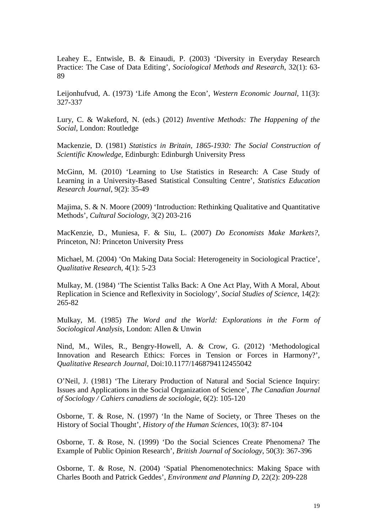Leahey E., Entwisle, B. & Einaudi, P. (2003) 'Diversity in Everyday Research Practice: The Case of Data Editing', *Sociological Methods and Research*, 32(1): 63- 89

Leijonhufvud, A. (1973) 'Life Among the Econ', *Western Economic Journal*, 11(3): 327-337

Lury, C. & Wakeford, N. (eds.) (2012) *Inventive Methods: The Happening of the Social*, London: Routledge

Mackenzie, D. (1981) *Statistics in Britain, 1865-1930: The Social Construction of Scientific Knowledge*, Edinburgh: Edinburgh University Press

McGinn, M. (2010) 'Learning to Use Statistics in Research: A Case Study of Learning in a University-Based Statistical Consulting Centre', *Statistics Education Research Journal*, 9(2): 35-49

Majima, S. & N. Moore (2009) 'Introduction: Rethinking Qualitative and Quantitative Methods', *Cultural Sociology*, 3(2) 203-216

MacKenzie, D., Muniesa, F. & Siu, L. (2007) *Do Economists Make Markets?*, Princeton, NJ: Princeton University Press

Michael, M. (2004) 'On Making Data Social: Heterogeneity in Sociological Practice', *Qualitative Research*, 4(1): 5-23

Mulkay, M. (1984) 'The Scientist Talks Back: A One Act Play, With A Moral, About Replication in Science and Reflexivity in Sociology', *Social Studies of Science*, 14(2): 265-82

Mulkay, M. (1985) *The Word and the World: Explorations in the Form of Sociological Analysis*, London: Allen & Unwin

Nind, M., Wiles, R., Bengry-Howell, A. & Crow, G. (2012) 'Methodological Innovation and Research Ethics: Forces in Tension or Forces in Harmony?', *Qualitative Research Journal*, Doi:10.1177/1468794112455042

O'Neil, J. (1981) 'The Literary Production of Natural and Social Science Inquiry: Issues and Applications in the Social Organization of Science', *The Canadian Journal of Sociology / Cahiers canadiens de sociologie*, 6(2): 105-120

Osborne, T. & Rose, N. (1997) 'In the Name of Society, or Three Theses on the History of Social Thought', *History of the Human Sciences*, 10(3): 87-104

Osborne, T. & Rose, N. (1999) 'Do the Social Sciences Create Phenomena? The Example of Public Opinion Research', *British Journal of Sociology*, 50(3): 367-396

Osborne, T. & Rose, N. (2004) 'Spatial Phenomenotechnics: Making Space with Charles Booth and Patrick Geddes', *Environment and Planning D*, 22(2): 209-228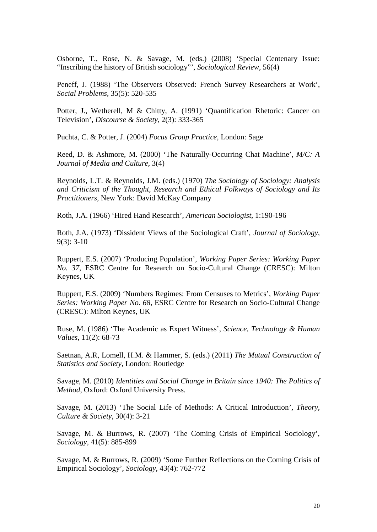Osborne, T., Rose, N. & Savage, M. (eds.) (2008) 'Special Centenary Issue: "Inscribing the history of British sociology"', *Sociological Review*, 56(4)

Peneff, J. (1988) 'The Observers Observed: French Survey Researchers at Work', *Social Problems*, 35(5): 520-535

Potter, J., Wetherell, M & Chitty, A. (1991) 'Quantification Rhetoric: Cancer on Television', *Discourse & Society*, 2(3): 333-365

Puchta, C. & Potter, J. (2004) *Focus Group Practice*, London: Sage

Reed, D. & Ashmore, M. (2000) 'The Naturally-Occurring Chat Machine', *M/C: A Journal of Media and Culture*, 3(4)

Reynolds, L.T. & Reynolds, J.M. (eds.) (1970) *The Sociology of Sociology: Analysis and Criticism of the Thought, Research and Ethical Folkways of Sociology and Its Practitioners*, New York: David McKay Company

Roth, J.A. (1966) 'Hired Hand Research', *American Sociologist*, 1:190-196

Roth, J.A. (1973) 'Dissident Views of the Sociological Craft', *Journal of Sociology*, 9(3): 3-10

Ruppert, E.S. (2007) 'Producing Population', *Working Paper Series: Working Paper No. 37*, ESRC Centre for Research on Socio-Cultural Change (CRESC): Milton Keynes, UK

Ruppert, E.S. (2009) 'Numbers Regimes: From Censuses to Metrics', *Working Paper Series: Working Paper No. 68*, ESRC Centre for Research on Socio-Cultural Change (CRESC): Milton Keynes, UK

Ruse, M. (1986) 'The Academic as Expert Witness', *Science, Technology & Human Values*, 11(2): 68-73

Saetnan, A.R, Lomell, H.M. & Hammer, S. (eds.) (2011) *The Mutual Construction of Statistics and Society*, London: Routledge

Savage, M. (2010) *Identities and Social Change in Britain since 1940: The Politics of Method*, Oxford: Oxford University Press.

Savage, M. (2013) 'The Social Life of Methods: A Critical Introduction', *Theory, Culture & Society*, 30(4): 3-21

Savage, M. & Burrows, R. (2007) 'The Coming Crisis of Empirical Sociology', *Sociology*, 41(5): 885-899

Savage, M. & Burrows, R. (2009) 'Some Further Reflections on the Coming Crisis of Empirical Sociology', *Sociology*, 43(4): 762-772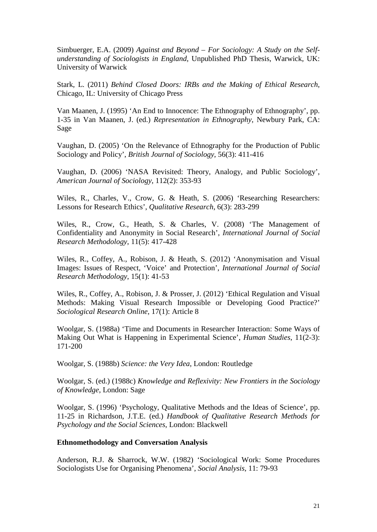Simbuerger, E.A. (2009) *Against and Beyond – For Sociology: A Study on the Selfunderstanding of Sociologists in England*, Unpublished PhD Thesis, Warwick, UK: University of Warwick

Stark, L. (2011) *Behind Closed Doors: IRBs and the Making of Ethical Research*, Chicago, IL: University of Chicago Press

Van Maanen, J. (1995) 'An End to Innocence: The Ethnography of Ethnography', pp. 1-35 in Van Maanen, J. (ed.) *Representation in Ethnography*, Newbury Park, CA: Sage

Vaughan, D. (2005) 'On the Relevance of Ethnography for the Production of Public Sociology and Policy', *British Journal of Sociology*, 56(3): 411-416

Vaughan, D. (2006) 'NASA Revisited: Theory, Analogy, and Public Sociology', *American Journal of Sociology*, 112(2): 353-93

Wiles, R., Charles, V., Crow, G. & Heath, S. (2006) 'Researching Researchers: Lessons for Research Ethics', *Qualitative Research*, 6(3): 283-299

Wiles, R., Crow, G., Heath, S. & Charles, V. (2008) 'The Management of Confidentiality and Anonymity in Social Research', *International Journal of Social Research Methodology*, 11(5): 417-428

Wiles, R., Coffey, A., Robison, J. & Heath, S. (2012) 'Anonymisation and Visual Images: Issues of Respect, 'Voice' and Protection', *International Journal of Social Research Methodology*, 15(1): 41-53

Wiles, R., Coffey, A., Robison, J. & Prosser, J. (2012) 'Ethical Regulation and Visual Methods: Making Visual Research Impossible or Developing Good Practice?' *Sociological Research Online*, 17(1): Article 8

Woolgar, S. (1988a) 'Time and Documents in Researcher Interaction: Some Ways of Making Out What is Happening in Experimental Science', *Human Studies*, 11(2-3): 171-200

Woolgar, S. (1988b) *Science: the Very Idea*, London: Routledge

Woolgar, S. (ed.) (1988c) *Knowledge and Reflexivity: New Frontiers in the Sociology of Knowledge*, London: Sage

Woolgar, S. (1996) 'Psychology, Qualitative Methods and the Ideas of Science', pp. 11-25 in Richardson, J.T.E. (ed.) *Handbook of Qualitative Research Methods for Psychology and the Social Sciences*, London: Blackwell

#### **Ethnomethodology and Conversation Analysis**

Anderson, R.J. & Sharrock, W.W. (1982) 'Sociological Work: Some Procedures Sociologists Use for Organising Phenomena', *Social Analysis*, 11: 79-93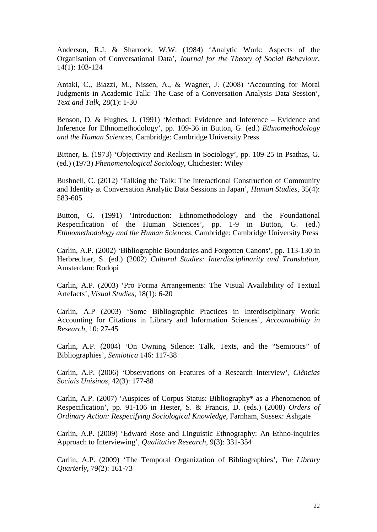Anderson, R.J. & Sharrock, W.W. (1984) 'Analytic Work: Aspects of the Organisation of Conversational Data', *Journal for the Theory of Social Behaviour*, 14(1): 103-124

Antaki, C., Biazzi, M., Nissen, A., & Wagner, J. (2008) 'Accounting for Moral Judgments in Academic Talk: The Case of a Conversation Analysis Data Session', *Text and Talk*, 28(1): 1-30

Benson, D. & Hughes, J. (1991) 'Method: Evidence and Inference – Evidence and Inference for Ethnomethodology', pp. 109-36 in Button, G. (ed.) *Ethnomethodology and the Human Sciences,* Cambridge: Cambridge University Press

Bittner, E. (1973) 'Objectivity and Realism in Sociology', pp. 109-25 in Psathas, G. (ed.) (1973) *Phenomenological Sociology*, Chichester: Wiley

Bushnell, C. (2012) 'Talking the Talk: The Interactional Construction of Community and Identity at Conversation Analytic Data Sessions in Japan', *Human Studies*, 35(4): 583-605

Button, G. (1991) 'Introduction: Ethnomethodology and the Foundational Respecification of the Human Sciences', pp. 1-9 in Button, G. (ed.) *Ethnomethodology and the Human Sciences*, Cambridge: Cambridge University Press

Carlin, A.P. (2002) 'Bibliographic Boundaries and Forgotten Canons', pp. 113-130 in Herbrechter, S. (ed.) (2002) *Cultural Studies: Interdisciplinarity and Translation*, Amsterdam: Rodopi

Carlin, A.P. (2003) 'Pro Forma Arrangements: The Visual Availability of Textual Artefacts', *Visual Studies*, 18(1): 6-20

Carlin, A.P (2003) 'Some Bibliographic Practices in Interdisciplinary Work: Accounting for Citations in Library and Information Sciences', *Accountability in Research*, 10: 27-45

Carlin, A.P. (2004) 'On Owning Silence: Talk, Texts, and the "Semiotics" of Bibliographies', *Semiotica* 146: 117-38

Carlin, A.P. (2006) 'Observations on Features of a Research Interview', *Ciências Sociais Unisinos*, 42(3): 177-88

Carlin, A.P. (2007) 'Auspices of Corpus Status: Bibliography\* as a Phenomenon of Respecification', pp. 91-106 in Hester, S. & Francis, D. (eds.) (2008) *Orders of Ordinary Action: Respecifying Sociological Knowledge*, Farnham, Sussex: Ashgate

Carlin, A.P. (2009) 'Edward Rose and Linguistic Ethnography: An Ethno-inquiries Approach to Interviewing', *Qualitative Research*, 9(3): 331-354

Carlin, A.P. (2009) 'The Temporal Organization of Bibliographies', *The Library Quarterly*, 79(2): 161-73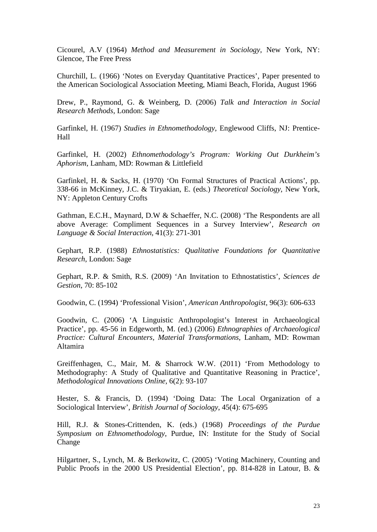Cicourel, A.V (1964) *Method and Measurement in Sociology*, New York, NY: Glencoe, The Free Press

Churchill, L. (1966) 'Notes on Everyday Quantitative Practices', Paper presented to the American Sociological Association Meeting, Miami Beach, Florida, August 1966

Drew, P., Raymond, G. & Weinberg, D. (2006) *Talk and Interaction in Social Research Methods*, London: Sage

Garfinkel, H. (1967) *Studies in Ethnomethodology*, Englewood Cliffs, NJ: Prentice-Hall

Garfinkel, H. (2002) *Ethnomethodology's Program: Working Out Durkheim's Aphorism*, Lanham, MD: Rowman & Littlefield

Garfinkel, H. & Sacks, H. (1970) 'On Formal Structures of Practical Actions', pp. 338-66 in McKinney, J.C. & Tiryakian, E. (eds.) *Theoretical Sociology*, New York, NY: Appleton Century Crofts

Gathman, E.C.H., Maynard, D.W & Schaeffer, N.C. (2008) 'The Respondents are all above Average: Compliment Sequences in a Survey Interview', *Research on Language & Social Interaction*, 41(3): 271-301

Gephart, R.P. (1988) *Ethnostatistics: Qualitative Foundations for Quantitative Research*, London: Sage

Gephart, R.P. & Smith, R.S. (2009) 'An Invitation to Ethnostatistics', *Sciences de Gestion*, 70: 85-102

Goodwin, C. (1994) 'Professional Vision', *American Anthropologist*, 96(3): 606-633

Goodwin, C. (2006) 'A Linguistic Anthropologist's Interest in Archaeological Practice', pp. 45-56 in Edgeworth, M. (ed.) (2006) *Ethnographies of Archaeological Practice: Cultural Encounters, Material Transformations*, Lanham, MD: Rowman Altamira

Greiffenhagen, C., Mair, M. & Sharrock W.W. (2011) 'From Methodology to Methodography: A Study of Qualitative and Quantitative Reasoning in Practice', *Methodological Innovations Online*, 6(2): 93-107

Hester, S. & Francis, D. (1994) 'Doing Data: The Local Organization of a Sociological Interview', *British Journal of Sociology*, 45(4): 675-695

Hill, R.J. & Stones-Crittenden, K. (eds.) (1968) *Proceedings of the Purdue Symposium on Ethnomethodology*, Purdue, IN: Institute for the Study of Social Change

Hilgartner, S., Lynch, M. & Berkowitz, C. (2005) 'Voting Machinery, Counting and Public Proofs in the 2000 US Presidential Election', pp. 814-828 in Latour, B. &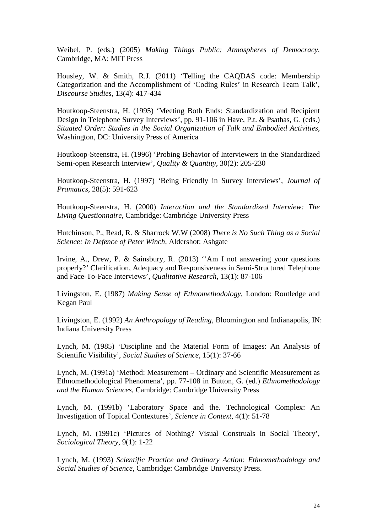Weibel, P. (eds.) (2005) *Making Things Public: Atmospheres of Democracy*, Cambridge, MA: MIT Press

Housley, W. & Smith, R.J. (2011) 'Telling the CAQDAS code: Membership Categorization and the Accomplishment of 'Coding Rules' in Research Team Talk', *Discourse Studies*, 13(4): 417-434

Houtkoop-Steenstra, H. (1995) 'Meeting Both Ends: Standardization and Recipient Design in Telephone Survey Interviews', pp. 91-106 in Have, P.t. & Psathas, G. (eds.) *Situated Order: Studies in the Social Organization of Talk and Embodied Activities*, Washington, DC: University Press of America

Houtkoop-Steenstra, H. (1996) 'Probing Behavior of Interviewers in the Standardized Semi-open Research Interview', *Quality & Quantity*, 30(2): 205-230

Houtkoop-Steenstra, H. (1997) 'Being Friendly in Survey Interviews', *Journal of Pramatics*, 28(5): 591-623

Houtkoop-Steenstra, H. (2000) *Interaction and the Standardized Interview: The Living Questionnaire,* Cambridge: Cambridge University Press

Hutchinson, P., Read, R. & Sharrock W.W (2008) *There is No Such Thing as a Social Science: In Defence of Peter Winch*, Aldershot: Ashgate

Irvine, A., Drew, P. & Sainsbury, R. (2013) ''Am I not answering your questions properly?' Clarification, Adequacy and Responsiveness in Semi-Structured Telephone and Face-To-Face Interviews', *Qualitative Research*, 13(1): 87-106

Livingston, E. (1987) *Making Sense of Ethnomethodology*, London: Routledge and Kegan Paul

Livingston, E. (1992) *An Anthropology of Reading*, Bloomington and Indianapolis, IN: Indiana University Press

Lynch, M. (1985) 'Discipline and the Material Form of Images: An Analysis of Scientific Visibility', *Social Studies of Science*, 15(1): 37-66

Lynch, M. (1991a) 'Method: Measurement – Ordinary and Scientific Measurement as Ethnomethodological Phenomena', pp. 77-108 in Button, G. (ed.) *Ethnomethodology and the Human Sciences*, Cambridge: Cambridge University Press

Lynch, M. (1991b) 'Laboratory Space and the. Technological Complex: An Investigation of Topical Contextures', *Science in Context*, 4(1): 51-78

Lynch, M. (1991c) 'Pictures of Nothing? Visual Construals in Social Theory', *Sociological Theory*, 9(1): 1-22

Lynch, M. (1993) *Scientific Practice and Ordinary Action: Ethnomethodology and Social Studies of Science*, Cambridge: Cambridge University Press.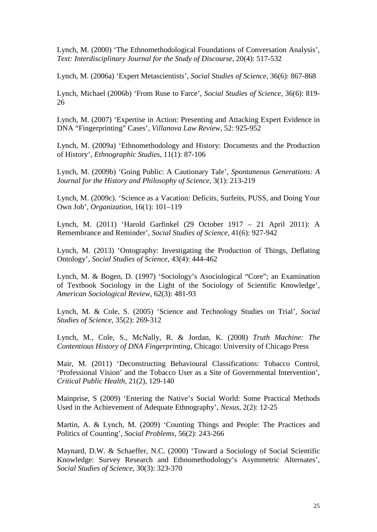Lynch, M. (2000) 'The Ethnomethodological Foundations of Conversation Analysis', *Text: Interdisciplinary Journal for the Study of Discourse*, 20(4): 517-532

Lynch, M. (2006a) 'Expert Metascientists', *Social Studies of Science*, 36(6): 867-868

Lynch, Michael (2006b) 'From Ruse to Farce', *Social Studies of Science*, 36(6): 819- 26

Lynch, M. (2007) 'Expertise in Action: Presenting and Attacking Expert Evidence in DNA "Fingerprinting" Cases', *Villanova Law Review*, 52: 925-952

Lynch, M. (2009a) 'Ethnomethodology and History: Documents and the Production of History', *Ethnographic Studies*, 11(1): 87-106

Lynch, M. (2009b) 'Going Public: A Cautionary Tale', *Spontaneous Generations: A Journal for the History and Philosophy of Science*, 3(1): 213-219

Lynch, M. (2009c). 'Science as a Vacation: Deficits, Surfeits, PUSS, and Doing Your Own Job', *Organization*, 16(1): 101–119

Lynch, M. (2011) 'Harold Garfinkel (29 October 1917 – 21 April 2011): A Remembrance and Reminder', *Social Studies of Science*, 41(6): 927-942

Lynch, M. (2013) 'Ontography: Investigating the Production of Things, Deflating Ontology', *Social Studies of Science*, 43(4): 444-462

Lynch, M. & Bogen, D. (1997) 'Sociology's Asociological "Core"; an Examination of Textbook Sociology in the Light of the Sociology of Scientific Knowledge', *American Sociological Review*, 62(3): 481-93

Lynch, M. & Cole, S. (2005) 'Science and Technology Studies on Trial', *Social Studies of Science*, 35(2): 269-312

Lynch, M., Cole, S., McNally, R. & Jordan, K. (2008) *Truth Machine: The Contentious History of DNA Fingerprinting*, Chicago: University of Chicago Press

Mair, M. (2011) 'Deconstructing Behavioural Classifications: Tobacco Control, 'Professional Vision' and the Tobacco User as a Site of Governmental Intervention', *Critical Public Health*, 21(2), 129-140

Mainprise, S (2009) 'Entering the Native's Social World: Some Practical Methods Used in the Achievement of Adequate Ethnography', *Nexus*, 2(2): 12-25

Martin, A. & Lynch, M. (2009) 'Counting Things and People: The Practices and Politics of Counting', *Social Problems*, 56(2): 243-266

Maynard, D.W. & Schaeffer, N.C. (2000) 'Toward a Sociology of Social Scientific Knowledge: Survey Research and Ethnomethodology's Asymmetric Alternates', *Social Studies of Science*, 30(3): 323-370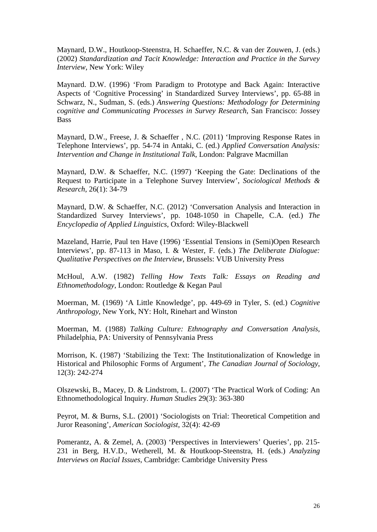Maynard, D.W., Houtkoop-Steenstra, H. Schaeffer, N.C. & van der Zouwen, J. (eds.) (2002) *Standardization and Tacit Knowledge: Interaction and Practice in the Survey Interview*, New York: Wiley

Maynard. D.W. (1996) 'From Paradigm to Prototype and Back Again: Interactive Aspects of 'Cognitive Processing' in Standardized Survey Interviews', pp. 65-88 in Schwarz, N., Sudman, S. (eds.) *Answering Questions: Methodology for Determining cognitive and Communicating Processes in Survey Research*, San Francisco: Jossey Bass

Maynard, D.W., Freese, J. & Schaeffer , N.C. (2011) 'Improving Response Rates in Telephone Interviews', pp. 54-74 in Antaki, C. (ed.) *Applied Conversation Analysis: Intervention and Change in Institutional Talk*, London: Palgrave Macmillan

Maynard, D.W. & Schaeffer, N.C. (1997) 'Keeping the Gate: Declinations of the Request to Participate in a Telephone Survey Interview', *Sociological Methods & Research*, 26(1): 34-79

Maynard, D.W. & Schaeffer, N.C. (2012) 'Conversation Analysis and Interaction in Standardized Survey Interviews', pp. 1048-1050 in Chapelle, C.A. (ed.) *The Encyclopedia of Applied Linguistics*, Oxford: Wiley-Blackwell

Mazeland, Harrie, Paul ten Have (1996) 'Essential Tensions in (Semi)Open Research Interviews', pp. 87-113 in Maso, I. & Wester, F. (eds.) *The Deliberate Dialogue: Qualitative Perspectives on the Interview*, Brussels: VUB University Press

McHoul, A.W. (1982) *Telling How Texts Talk: Essays on Reading and Ethnomethodology*, London: Routledge & Kegan Paul

Moerman, M. (1969) 'A Little Knowledge', pp. 449-69 in Tyler, S. (ed.) *Cognitive Anthropology*, New York, NY: Holt, Rinehart and Winston

Moerman, M. (1988) *Talking Culture: Ethnography and Conversation Analysis*, Philadelphia, PA: University of Pennsylvania Press

Morrison, K. (1987) 'Stabilizing the Text: The Institutionalization of Knowledge in Historical and Philosophic Forms of Argument', *The Canadian Journal of Sociology*, 12(3): 242-274

Olszewski, B., Macey, D. & Lindstrom, L. (2007) 'The Practical Work of Coding: An Ethnomethodological Inquiry. *Human Studies* 29(3): 363-380

Peyrot, M. & Burns, S.L. (2001) 'Sociologists on Trial: Theoretical Competition and Juror Reasoning', *American Sociologist*, 32(4): 42-69

Pomerantz, A. & Zemel, A. (2003) 'Perspectives in Interviewers' Queries', pp. 215- 231 in Berg, H.V.D., Wetherell, M. & Houtkoop-Steenstra, H. (eds.) *Analyzing Interviews on Racial Issues*, Cambridge: Cambridge University Press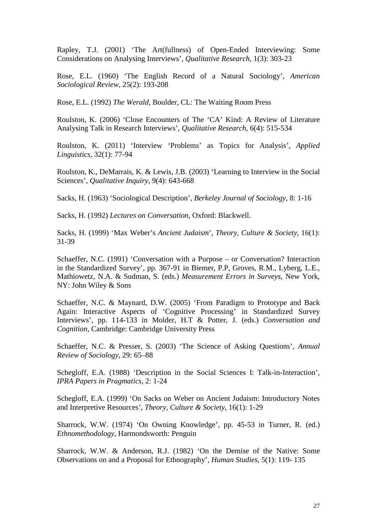Rapley, T.J. (2001) 'The Art(fullness) of Open-Ended Interviewing: Some Considerations on Analysing Interviews', *Qualitative Research*, 1(3): 303-23

Rose, E.L. (1960) 'The English Record of a Natural Sociology', *American Sociological Review*, 25(2): 193-208

Rose, E.L. (1992) *The Werald*, Boulder, CL: The Waiting Room Press

Roulston, K. (2006) 'Close Encounters of The 'CA' Kind: A Review of Literature Analysing Talk in Research Interviews', *Qualitative Research*, 6(4): 515-534

Roulston, K. (2011) 'Interview 'Problems' as Topics for Analysis', *Applied Linguistics*, 32(1): 77-94

Roulston, K., DeMarrais, K. & Lewis, J.B. (2003) 'Learning to Interview in the Social Sciences', *Qualitative Inquiry*, 9(4): 643-668

Sacks, H. (1963) 'Sociological Description', *Berkeley Journal of Sociology*, 8: 1-16

Sacks, H. (1992) *Lectures on Conversation*, Oxford: Blackwell.

Sacks, H. (1999) 'Max Weber's *Ancient Judaism*', *Theory, Culture & Society*, 16(1): 31-39

Schaeffer, N.C. (1991) 'Conversation with a Purpose – or Conversation? Interaction in the Standardized Survey', pp. 367-91 in Biemer, P.P, Groves, R.M., Lyberg, L.E., Mathiowetz, N.A. & Sudman, S. (eds.) *Measurement Errors in Surveys*, New York, NY: John Wiley & Sons

Schaeffer, N.C. & Maynard, D.W. (2005) 'From Paradigm to Prototype and Back Again: Interactive Aspects of 'Cognitive Processing' in Standardized Survey Interviews', pp. 114-133 in Molder, H.T & Potter, J. (eds.) *Conversation and Cognition*, Cambridge: Cambridge University Press

Schaeffer, N.C. & Presser, S. (2003) 'The Science of Asking Questions', *Annual Review of Sociology*, 29: 65–88

Schegloff, E.A. (1988) 'Description in the Social Sciences I: Talk-in-Interaction', *IPRA Papers in Pragmatics*, 2: 1-24

Schegloff, E.A. (1999) 'On Sacks on Weber on Ancient Judaism: Introductory Notes and Interpretive Resources', *Theory, Culture & Society*, 16(1): 1-29

Sharrock, W.W. (1974) 'On Owning Knowledge', pp. 45-53 in Turner, R. (ed.) *Ethnomethodology*, Harmondsworth: Penguin

Sharrock, W.W. & Anderson, R.J. (1982) 'On the Demise of the Native: Some Observations on and a Proposal for Ethnography', *Human Studies*, 5(1): 119- 135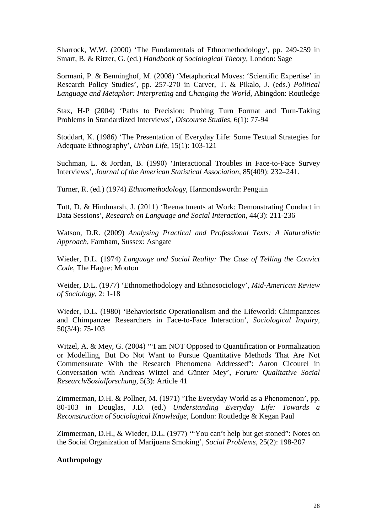Sharrock, W.W. (2000) 'The Fundamentals of Ethnomethodology', pp. 249-259 in Smart, B. & Ritzer, G. (ed.) *Handbook of Sociological Theory*, London: Sage

Sormani, P. & Benninghof, M. (2008) 'Metaphorical Moves: 'Scientific Expertise' in Research Policy Studies', pp. 257-270 in Carver, T. & Pikalo, J. (eds.) *Political Language and Metaphor: Interpreting* and *Changing the World*, Abingdon: Routledge

Stax, H-P (2004) 'Paths to Precision: Probing Turn Format and Turn-Taking Problems in Standardized Interviews', *Discourse Studies*, 6(1): 77-94

Stoddart, K. (1986) 'The Presentation of Everyday Life: Some Textual Strategies for Adequate Ethnography', *Urban Life,* 15(1): 103-121

Suchman, L. & Jordan, B. (1990) 'Interactional Troubles in Face-to-Face Survey Interviews', *Journal of the American Statistical Association*, 85(409): 232–241.

Turner, R. (ed.) (1974) *Ethnomethodology*, Harmondsworth: Penguin

Tutt, D. & Hindmarsh, J. (2011) 'Reenactments at Work: Demonstrating Conduct in Data Sessions', *Research on Language and Social Interaction*, 44(3): 211-236

Watson, D.R. (2009) *Analysing Practical and Professional Texts: A Naturalistic Approach*, Farnham, Sussex: Ashgate

Wieder, D.L. (1974) *Language and Social Reality: The Case of Telling the Convict Code*, The Hague: Mouton

Weider, D.L. (1977) 'Ethnomethodology and Ethnosociology', *Mid-American Review of Sociology*, 2: 1-18

Wieder, D.L. (1980) 'Behavioristic Operationalism and the Lifeworld: Chimpanzees and Chimpanzee Researchers in Face-to-Face Interaction', *Sociological Inquiry*, 50(3/4): 75-103

Witzel, A. & Mey, G. (2004) '"I am NOT Opposed to Quantification or Formalization or Modelling, But Do Not Want to Pursue Quantitative Methods That Are Not Commensurate With the Research Phenomena Addressed": Aaron Cicourel in Conversation with Andreas Witzel and Günter Mey', *Forum: Qualitative Social Research/Sozialforschung*, 5(3): Article 41

Zimmerman, D.H. & Pollner, M. (1971) 'The Everyday World as a Phenomenon', pp. 80-103 in Douglas, J.D. (ed.) *Understanding Everyday Life: Towards a Reconstruction of Sociological Knowledge*, London: Routledge & Kegan Paul

Zimmerman, D.H., & Wieder, D.L. (1977) '"You can't help but get stoned": Notes on the Social Organization of Marijuana Smoking', *Social Problems*, 25(2): 198-207

#### **Anthropology**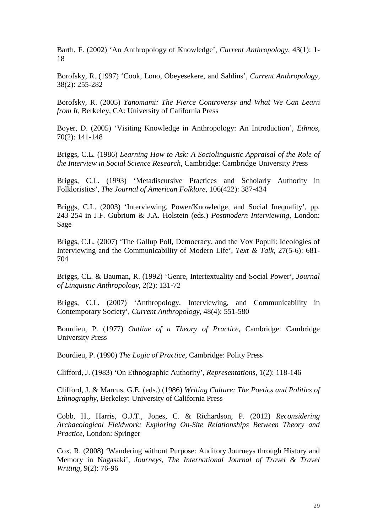Barth, F. (2002) 'An Anthropology of Knowledge', *Current Anthropology*, 43(1): 1- 18

Borofsky, R. (1997) 'Cook, Lono, Obeyesekere, and Sahlins', *Current Anthropology*, 38(2): 255-282

Borofsky, R. (2005) *Yanomami: The Fierce Controversy and What We Can Learn from It*, Berkeley, CA: University of California Press

Boyer, D. (2005) 'Visiting Knowledge in Anthropology: An Introduction', *Ethnos*, 70(2): 141-148

Briggs, C.L. (1986) *Learning How to Ask: A Sociolinguistic Appraisal of the Role of the Interview in Social Science Research*, Cambridge: Cambridge University Press

Briggs, C.L. (1993) 'Metadiscursive Practices and Scholarly Authority in Folkloristics', *The Journal of American Folklore*, 106(422): 387-434

Briggs, C.L. (2003) 'Interviewing, Power/Knowledge, and Social Inequality', pp. 243-254 in J.F. Gubrium & J.A. Holstein (eds.) *Postmodern Interviewing*, London: Sage

Briggs, C.L. (2007) 'The Gallup Poll, Democracy, and the Vox Populi: Ideologies of Interviewing and the Communicability of Modern Life', *Text & Talk*, 27(5-6): 681- 704

Briggs, CL. & Bauman, R. (1992) 'Genre, Intertextuality and Social Power', *Journal of Linguistic Anthropology*, 2(2): 131-72

Briggs, C.L. (2007) 'Anthropology, Interviewing, and Communicability in Contemporary Society', *Current Anthropology*, 48(4): 551-580

Bourdieu, P. (1977) *Outline of a Theory of Practice*, Cambridge: Cambridge University Press

Bourdieu, P. (1990) *The Logic of Practice*, Cambridge: Polity Press

Clifford, J. (1983) 'On Ethnographic Authority', *Representations*, 1(2): 118-146

Clifford, J. & Marcus, G.E. (eds.) (1986) *Writing Culture: The Poetics and Politics of Ethnography*, Berkeley: University of California Press

Cobb, H., Harris, O.J.T., Jones, C. & Richardson, P. (2012) *Reconsidering Archaeological Fieldwork: Exploring On-Site Relationships Between Theory and Practice*, London: Springer

Cox, R. (2008) 'Wandering without Purpose: Auditory Journeys through History and Memory in Nagasaki', *Journeys, The International Journal of Travel & Travel Writing*, 9(2): 76-96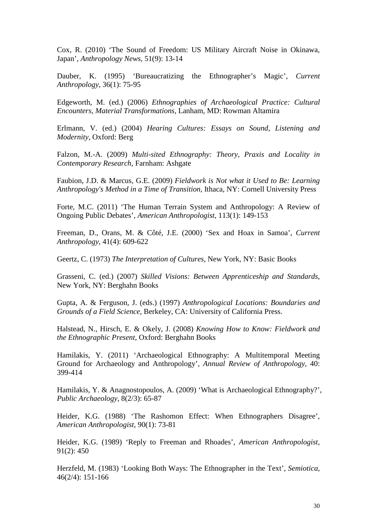Cox, R. (2010) 'The Sound of Freedom: US Military Aircraft Noise in Okinawa, Japan', *Anthropology News*, 51(9): 13-14

Dauber, K. (1995) 'Bureaucratizing the Ethnographer's Magic', *Current Anthropology*, 36(1): 75-95

Edgeworth, M. (ed.) (2006) *Ethnographies of Archaeological Practice: Cultural Encounters, Material Transformations*, Lanham, MD: Rowman Altamira

Erlmann, V. (ed.) (2004) *Hearing Cultures: Essays on Sound, Listening and Modernity*, Oxford: Berg

Falzon, M.-A. (2009) *Multi-sited Ethnography: Theory, Praxis and Locality in Contemporary Research*, Farnham: Ashgate

Faubion, J.D. & Marcus, G.E. (2009) *Fieldwork is Not what it Used to Be: Learning Anthropology's Method in a Time of Transition*, Ithaca, NY: Cornell University Press

Forte, M.C. (2011) 'The Human Terrain System and Anthropology: A Review of Ongoing Public Debates', *American Anthropologist*, 113(1): 149-153

Freeman, D., Orans, M. & Côté, J.E. (2000) 'Sex and Hoax in Samoa', *Current Anthropology*, 41(4): 609-622

Geertz, C. (1973) *The Interpretation of Cultures*, New York, NY: Basic Books

Grasseni, C. (ed.) (2007) *Skilled Visions: Between Apprenticeship and Standards*, New York, NY: Berghahn Books

Gupta, A. & Ferguson, J. (eds.) (1997) *Anthropological Locations: Boundaries and Grounds of a Field Science*, Berkeley, CA: University of California Press.

Halstead, N., Hirsch, E. & Okely, J. (2008) *Knowing How to Know: Fieldwork and the Ethnographic Present*, Oxford: Berghahn Books

Hamilakis, Y. (2011) 'Archaeological Ethnography: A Multitemporal Meeting Ground for Archaeology and Anthropology', *Annual Review of Anthropology*, 40: 399-414

Hamilakis, Y. & Anagnostopoulos, A. (2009) 'What is Archaeological Ethnography?', *Public Archaeology*, 8(2/3): 65-87

Heider, K.G. (1988) 'The Rashomon Effect: When Ethnographers Disagree', *American Anthropologist*, 90(1): 73-81

Heider, K.G. (1989) 'Reply to Freeman and Rhoades', *American Anthropologist*, 91(2): 450

Herzfeld, M. (1983) 'Looking Both Ways: The Ethnographer in the Text', *Semiotica*, 46(2/4): 151-166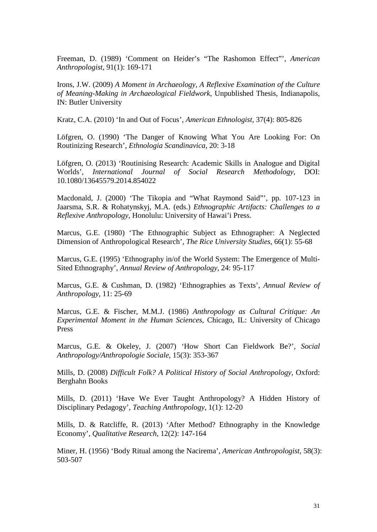Freeman, D. (1989) 'Comment on Heider's "The Rashomon Effect"', *American Anthropologist*, 91(1): 169-171

Irons, J.W. (2009) *A Moment in Archaeology, A Reflexive Examination of the Culture of Meaning-Making in Archaeological Fieldwork*, Unpublished Thesis, Indianapolis, IN: Butler University

Kratz, C.A. (2010) 'In and Out of Focus', *American Ethnologist*, 37(4): 805-826

Löfgren, O. (1990) 'The Danger of Knowing What You Are Looking For: On Routinizing Research', *Ethnologia Scandinavica*, 20: 3-18

Löfgren, O. (2013) 'Routinising Research: Academic Skills in Analogue and Digital Worlds', *International Journal of Social Research Methodology*, DOI: 10.1080/13645579.2014.854022

Macdonald, J. (2000) 'The Tikopia and "What Raymond Said"', pp. 107-123 in Jaarsma, S.R. & Rohatynskyj, M.A. (eds.) *Ethnographic Artifacts: Challenges to a Reflexive Anthropology*, Honolulu: University of Hawai'i Press.

Marcus, G.E. (1980) 'The Ethnographic Subject as Ethnographer: A Neglected Dimension of Anthropological Research', *The Rice University Studies*, 66(1): 55-68

Marcus, G.E. (1995) 'Ethnography in/of the World System: The Emergence of Multi-Sited Ethnography', *Annual Review of Anthropology*, 24: 95-117

Marcus, G.E. & Cushman, D. (1982) 'Ethnographies as Texts', *Annual Review of Anthropology*, 11: 25-69

Marcus, G.E. & Fischer, M.M.J. (1986) *Anthropology as Cultural Critique: An Experimental Moment in the Human Sciences*, Chicago, IL: University of Chicago Press

Marcus, G.E. & Okeley, J. (2007) 'How Short Can Fieldwork Be?', *Social Anthropology/Anthropologie Sociale*, 15(3): 353-367

Mills, D. (2008) *Difficult Folk? A Political History of Social Anthropology*, Oxford: Berghahn Books

Mills, D. (2011) 'Have We Ever Taught Anthropology? A Hidden History of Disciplinary Pedagogy', *Teaching Anthropology*, 1(1): 12-20

Mills, D. & Ratcliffe, R. (2013) 'After Method? Ethnography in the Knowledge Economy', *Qualitative Research*, 12(2): 147-164

Miner, H. (1956) 'Body Ritual among the Nacirema', *American Anthropologist*, 58(3): 503-507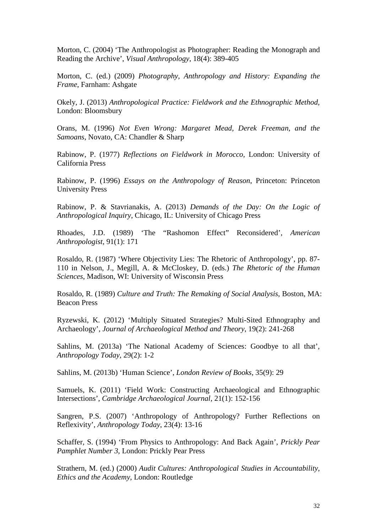Morton, C. (2004) 'The Anthropologist as Photographer: Reading the Monograph and Reading the Archive', *Visual Anthropology*, 18(4): 389-405

Morton, C. (ed.) (2009) *Photography, Anthropology and History: Expanding the Frame*, Farnham: Ashgate

Okely, J. (2013) *Anthropological Practice: Fieldwork and the Ethnographic Method*, London: Bloomsbury

Orans, M. (1996) *Not Even Wrong: Margaret Mead, Derek Freeman, and the Samoans*, Novato, CA: Chandler & Sharp

Rabinow, P. (1977) *Reflections on Fieldwork in Morocco*, London: University of California Press

Rabinow, P. (1996) *Essays on the Anthropology of Reason*, Princeton: Princeton University Press

Rabinow, P. & Stavrianakis, A. (2013) *Demands of the Day: On the Logic of Anthropological Inquiry*, Chicago, IL: University of Chicago Press

Rhoades, J.D. (1989) 'The "Rashomon Effect" Reconsidered', *American Anthropologist*, 91(1): 171

Rosaldo, R. (1987) 'Where Objectivity Lies: The Rhetoric of Anthropology', pp. 87- 110 in Nelson, J., Megill, A. & McCloskey, D. (eds.) *The Rhetoric of the Human Sciences*, Madison, WI: University of Wisconsin Press

Rosaldo, R. (1989) *Culture and Truth: The Remaking of Social Analysis*, Boston, MA: Beacon Press

Ryzewski, K. (2012) 'Multiply Situated Strategies? Multi-Sited Ethnography and Archaeology', *Journal of Archaeological Method and Theory*, 19(2): 241-268

Sahlins, M. (2013a) 'The National Academy of Sciences: Goodbye to all that', *Anthropology Today*, 29(2): 1-2

Sahlins, M. (2013b) 'Human Science', *London Review of Books*, 35(9): 29

Samuels, K. (2011) 'Field Work: Constructing Archaeological and Ethnographic Intersections', *Cambridge Archaeological Journal*, 21(1): 152-156

Sangren, P.S. (2007) 'Anthropology of Anthropology? Further Reflections on Reflexivity', *Anthropology Today*, 23(4): 13-16

Schaffer, S. (1994) 'From Physics to Anthropology: And Back Again', *Prickly Pear Pamphlet Number 3*, London: Prickly Pear Press

Strathern, M. (ed.) (2000) *Audit Cultures: Anthropological Studies in Accountability, Ethics and the Academy*, London: Routledge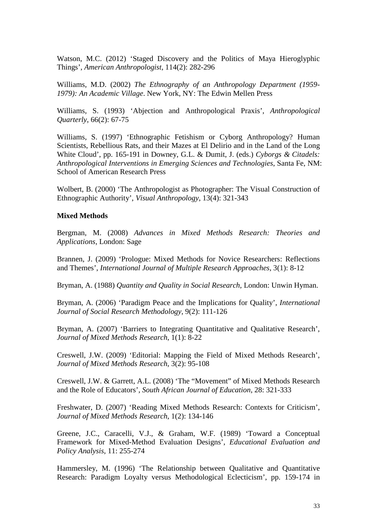Watson, M.C. (2012) 'Staged Discovery and the Politics of Maya Hieroglyphic Things', *American Anthropologist*, 114(2): 282-296

Williams, M.D. (2002) *The Ethnography of an Anthropology Department (1959- 1979): An Academic Village*. New York, NY: The Edwin Mellen Press

Williams, S. (1993) 'Abjection and Anthropological Praxis', *Anthropological Quarterly*, 66(2): 67-75

Williams, S. (1997) 'Ethnographic Fetishism or Cyborg Anthropology? Human Scientists, Rebellious Rats, and their Mazes at El Delirio and in the Land of the Long White Cloud', pp. 165-191 in Downey, G.L. & Dumit, J. (eds.) *Cyborgs & Citadels: Anthropological Interventions in Emerging Sciences and Technologies*, Santa Fe, NM: School of American Research Press

Wolbert, B. (2000) 'The Anthropologist as Photographer: The Visual Construction of Ethnographic Authority', *Visual Anthropology*, 13(4): 321-343

#### **Mixed Methods**

Bergman, M. (2008) *Advances in Mixed Methods Research: Theories and Applications*, London: Sage

Brannen, J. (2009) 'Prologue: Mixed Methods for Novice Researchers: Reflections and Themes', *International Journal of Multiple Research Approaches*, 3(1): 8-12

Bryman, A. (1988) *Quantity and Quality in Social Research*, London: Unwin Hyman.

Bryman, A. (2006) 'Paradigm Peace and the Implications for Quality', *International Journal of Social Research Methodology*, 9(2): 111-126

Bryman, A. (2007) 'Barriers to Integrating Quantitative and Qualitative Research', *Journal of Mixed Methods Research*, 1(1): 8-22

Creswell, J.W. (2009) 'Editorial: Mapping the Field of Mixed Methods Research', *Journal of Mixed Methods Research*, 3(2): 95-108

Creswell, J.W. & Garrett, A.L. (2008) 'The "Movement" of Mixed Methods Research and the Role of Educators', *South African Journal of Education*, 28: 321-333

Freshwater, D. (2007) 'Reading Mixed Methods Research: Contexts for Criticism', *Journal of Mixed Methods Research*, 1(2): 134-146

Greene, J.C., Caracelli, V.J., & Graham, W.F. (1989) 'Toward a Conceptual Framework for Mixed-Method Evaluation Designs', *Educational Evaluation and Policy Analysis*, 11: 255-274

Hammersley, M. (1996) 'The Relationship between Qualitative and Quantitative Research: Paradigm Loyalty versus Methodological Eclecticism', pp. 159-174 in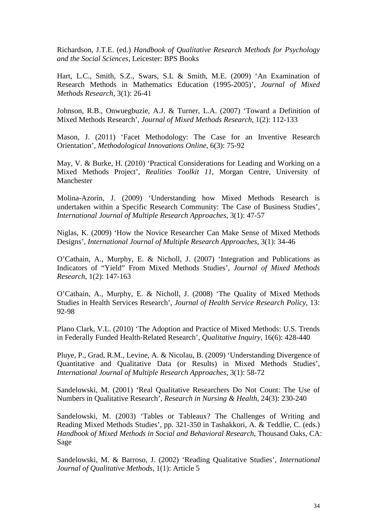Richardson, J.T.E. (ed.) *Handbook of Qualitative Research Methods for Psychology and the Social Sciences*, Leicester: BPS Books

Hart, L.C., Smith, S.Z., Swars, S.L & Smith, M.E. (2009) 'An Examination of Research Methods in Mathematics Education (1995-2005)', *Journal of Mixed Methods Research*, 3(1): 26-41

Johnson, R.B., Onwuegbuzie, A.J. & Turner, L.A. (2007) 'Toward a Definition of Mixed Methods Research', *Journal of Mixed Methods Research*, 1(2): 112-133

Mason, J. (2011) 'Facet Methodology: The Case for an Inventive Research Orientation', *Methodological Innovations Online*, 6(3): 75-92

May, V. & Burke, H. (2010) 'Practical Considerations for Leading and Working on a Mixed Methods Project', *Realities Toolkit 11*, Morgan Centre, University of Manchester

Molina-Azorín, J. (2009) 'Understanding how Mixed Methods Research is undertaken within a Specific Research Community: The Case of Business Studies', *International Journal of Multiple Research Approaches*, 3(1): 47-57

Niglas, K. (2009) 'How the Novice Researcher Can Make Sense of Mixed Methods Designs', *International Journal of Multiple Research Approaches*, 3(1): 34-46

O'Cathain, A., Murphy, E. & Nicholl, J. (2007) 'Integration and Publications as Indicators of "Yield" From Mixed Methods Studies', *Journal of Mixed Methods Research*, 1(2): 147-163

O'Cathain, A., Murphy, E. & Nicholl, J. (2008) 'The Quality of Mixed Methods Studies in Health Services Research', *Journal of Health Service Research Policy*, 13: 92-98

Plano Clark, V.L. (2010) 'The Adoption and Practice of Mixed Methods: U.S. Trends in Federally Funded Health-Related Research', *Qualitative Inquiry*, 16(6): 428-440

Pluye, P., Grad, R.M., Levine, A. & Nicolau, B. (2009) 'Understanding Divergence of Quantitative and Qualitative Data (or Results) in Mixed Methods Studies', *International Journal of Multiple Research Approaches*, 3(1): 58-72

Sandelowski, M. (2001) 'Real Qualitative Researchers Do Not Count: The Use of Numbers in Qualitative Research', *Research in Nursing & Health*, 24(3): 230-240

Sandelowski, M. (2003) 'Tables or Tableaux? The Challenges of Writing and Reading Mixed Methods Studies', pp. 321-350 in Tashakkori, A. & Teddlie, C. (eds.) *Handbook of Mixed Methods in Social and Behavioral Research*, Thousand Oaks, CA: Sage

Sandelowski, M. & Barroso, J. (2002) 'Reading Qualitative Studies', *International Journal of Qualitative Methods*, 1(1): Article 5